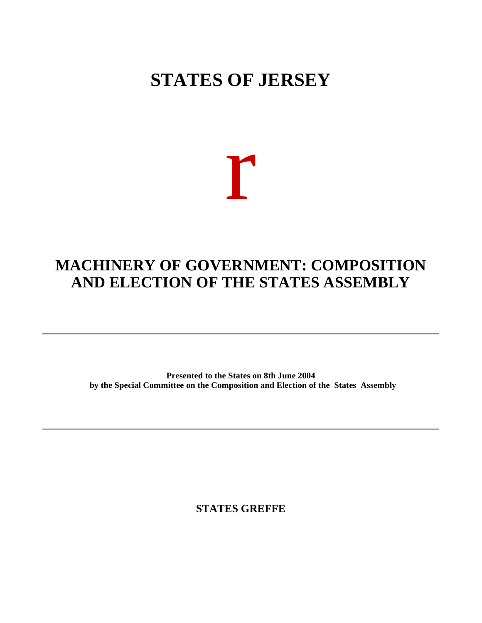# **STATES OF JERSEY**

# r

## **MACHINERY OF GOVERNMENT: COMPOSITION AND ELECTION OF THE STATES ASSEMBLY**

**Presented to the States on 8th June 2004 by the Special Committee on the Composition and Election of the States Assembly**

**STATES GREFFE**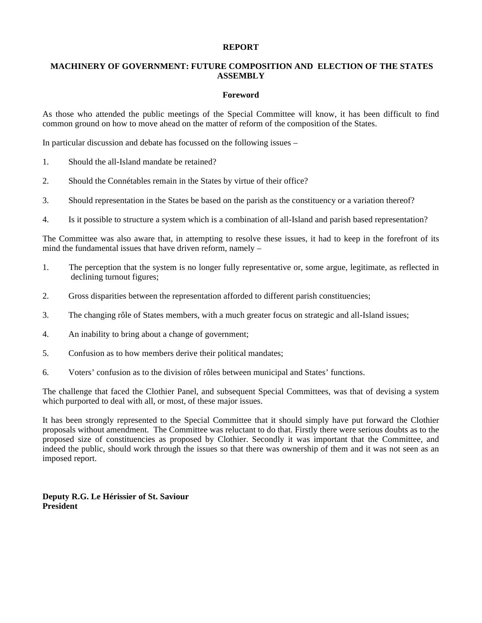#### **REPORT**

#### **MACHINERY OF GOVERNMENT: FUTURE COMPOSITION AND ELECTION OF THE STATES ASSEMBLY**

#### **Foreword**

As those who attended the public meetings of the Special Committee will know, it has been difficult to find common ground on how to move ahead on the matter of reform of the composition of the States.

In particular discussion and debate has focussed on the following issues –

- 1. Should the all-Island mandate be retained?
- 2. Should the Connétables remain in the States by virtue of their office?
- 3. Should representation in the States be based on the parish as the constituency or a variation thereof?
- 4. Is it possible to structure a system which is a combination of all-Island and parish based representation?

The Committee was also aware that, in attempting to resolve these issues, it had to keep in the forefront of its mind the fundamental issues that have driven reform, namely –

- 1. The perception that the system is no longer fully representative or, some argue, legitimate, as reflected in declining turnout figures;
- 2. Gross disparities between the representation afforded to different parish constituencies;
- 3. The changing rôle of States members, with a much greater focus on strategic and all-Island issues;
- 4. An inability to bring about a change of government;
- 5. Confusion as to how members derive their political mandates;
- 6. Voters' confusion as to the division of rôles between municipal and States' functions.

The challenge that faced the Clothier Panel, and subsequent Special Committees, was that of devising a system which purported to deal with all, or most, of these major issues.

It has been strongly represented to the Special Committee that it should simply have put forward the Clothier proposals without amendment. The Committee was reluctant to do that. Firstly there were serious doubts as to the proposed size of constituencies as proposed by Clothier. Secondly it was important that the Committee, and indeed the public, should work through the issues so that there was ownership of them and it was not seen as an imposed report.

**Deputy R.G. Le Hérissier of St. Saviour President**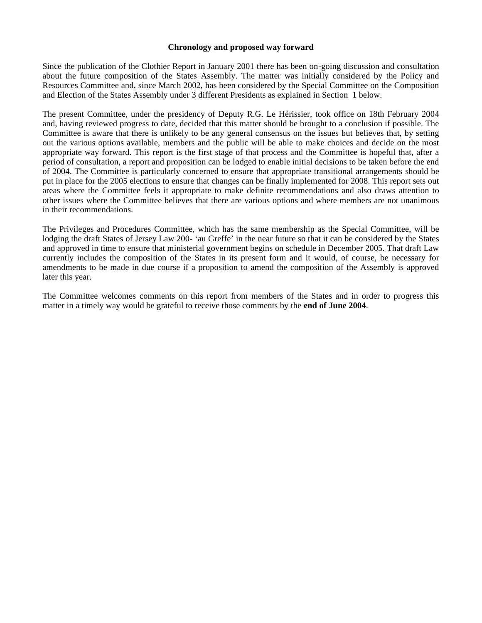#### **Chronology and proposed way forward**

Since the publication of the Clothier Report in January 2001 there has been on-going discussion and consultation about the future composition of the States Assembly. The matter was initially considered by the Policy and Resources Committee and, since March 2002, has been considered by the Special Committee on the Composition and Election of the States Assembly under 3 different Presidents as explained in Section 1 below.

The present Committee, under the presidency of Deputy R.G. Le Hérissier, took office on 18th February 2004 and, having reviewed progress to date, decided that this matter should be brought to a conclusion if possible. The Committee is aware that there is unlikely to be any general consensus on the issues but believes that, by setting out the various options available, members and the public will be able to make choices and decide on the most appropriate way forward. This report is the first stage of that process and the Committee is hopeful that, after a period of consultation, a report and proposition can be lodged to enable initial decisions to be taken before the end of 2004. The Committee is particularly concerned to ensure that appropriate transitional arrangements should be put in place for the 2005 elections to ensure that changes can be finally implemented for 2008. This report sets out areas where the Committee feels it appropriate to make definite recommendations and also draws attention to other issues where the Committee believes that there are various options and where members are not unanimous in their recommendations.

The Privileges and Procedures Committee, which has the same membership as the Special Committee, will be lodging the draft States of Jersey Law 200- 'au Greffe' in the near future so that it can be considered by the States and approved in time to ensure that ministerial government begins on schedule in December 2005. That draft Law currently includes the composition of the States in its present form and it would, of course, be necessary for amendments to be made in due course if a proposition to amend the composition of the Assembly is approved later this year.

The Committee welcomes comments on this report from members of the States and in order to progress this matter in a timely way would be grateful to receive those comments by the **end of June 2004**.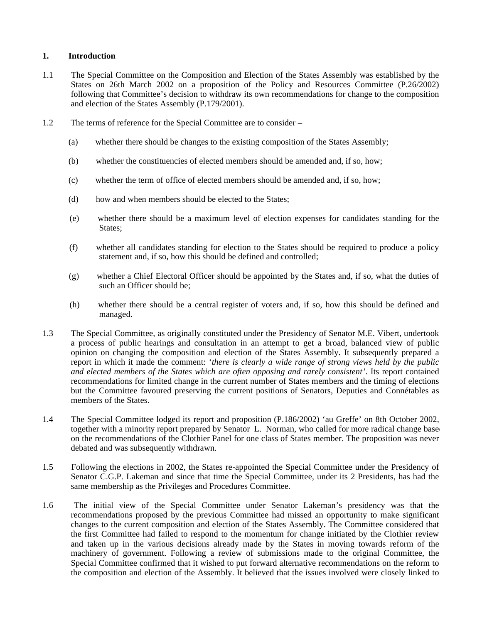#### **1. Introduction**

- 1.1 The Special Committee on the Composition and Election of the States Assembly was established by the States on 26th March 2002 on a proposition of the Policy and Resources Committee (P.26/2002) following that Committee's decision to withdraw its own recommendations for change to the composition and election of the States Assembly (P.179/2001).
- 1.2 The terms of reference for the Special Committee are to consider
	- (a) whether there should be changes to the existing composition of the States Assembly;
	- (b) whether the constituencies of elected members should be amended and, if so, how;
	- (c) whether the term of office of elected members should be amended and, if so, how;
	- (d) how and when members should be elected to the States;
	- (e) whether there should be a maximum level of election expenses for candidates standing for the States;
	- (f) whether all candidates standing for election to the States should be required to produce a policy statement and, if so, how this should be defined and controlled;
	- (g) whether a Chief Electoral Officer should be appointed by the States and, if so, what the duties of such an Officer should be;
	- (h) whether there should be a central register of voters and, if so, how this should be defined and managed.
- 1.3 The Special Committee, as originally constituted under the Presidency of Senator M.E. Vibert, undertook a process of public hearings and consultation in an attempt to get a broad, balanced view of public opinion on changing the composition and election of the States Assembly. It subsequently prepared a report in which it made the comment: '*there is clearly a wide range of strong views held by the public and elected members of the States which are often opposing and rarely consistent'*. Its report contained recommendations for limited change in the current number of States members and the timing of elections but the Committee favoured preserving the current positions of Senators, Deputies and Connétables as members of the States.
- 1.4 The Special Committee lodged its report and proposition (P.186/2002) 'au Greffe' on 8th October 2002, together with a minority report prepared by Senator L. Norman, who called for more radical change base on the recommendations of the Clothier Panel for one class of States member. The proposition was never debated and was subsequently withdrawn.
- 1.5 Following the elections in 2002, the States re-appointed the Special Committee under the Presidency of Senator C.G.P. Lakeman and since that time the Special Committee, under its 2 Presidents, has had the same membership as the Privileges and Procedures Committee.
- 1.6 The initial view of the Special Committee under Senator Lakeman's presidency was that the recommendations proposed by the previous Committee had missed an opportunity to make significant changes to the current composition and election of the States Assembly. The Committee considered that the first Committee had failed to respond to the momentum for change initiated by the Clothier review and taken up in the various decisions already made by the States in moving towards reform of the machinery of government. Following a review of submissions made to the original Committee, the Special Committee confirmed that it wished to put forward alternative recommendations on the reform to the composition and election of the Assembly. It believed that the issues involved were closely linked to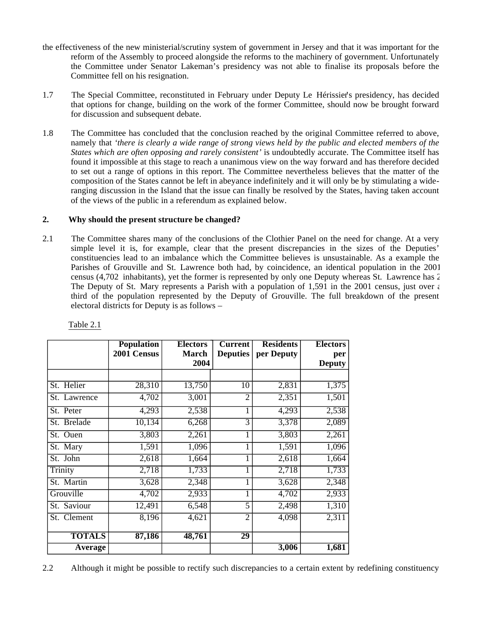- the effectiveness of the new ministerial/scrutiny system of government in Jersey and that it was important for the reform of the Assembly to proceed alongside the reforms to the machinery of government. Unfortunately the Committee under Senator Lakeman's presidency was not able to finalise its proposals before the Committee fell on his resignation.
- 1.7 The Special Committee, reconstituted in February under Deputy Le Hérissier's presidency, has decided that options for change, building on the work of the former Committee, should now be brought forward for discussion and subsequent debate.
- 1.8 The Committee has concluded that the conclusion reached by the original Committee referred to above, namely that *'there is clearly a wide range of strong views held by the public and elected members of the States which are often opposing and rarely consistent'* is undoubtedly accurate. The Committee itself has found it impossible at this stage to reach a unanimous view on the way forward and has therefore decided to set out a range of options in this report. The Committee nevertheless believes that the matter of the composition of the States cannot be left in abeyance indefinitely and it will only be by stimulating a wideranging discussion in the Island that the issue can finally be resolved by the States, having taken account of the views of the public in a referendum as explained below.

#### **2. Why should the present structure be changed?**

2.1 The Committee shares many of the conclusions of the Clothier Panel on the need for change. At a very simple level it is, for example, clear that the present discrepancies in the sizes of the Deputies' constituencies lead to an imbalance which the Committee believes is unsustainable. As a example the Parishes of Grouville and St. Lawrence both had, by coincidence, an identical population in the 2001 census (4,702 inhabitants), yet the former is represented by only one Deputy whereas St. Lawrence has 2. The Deputy of St. Mary represents a Parish with a population of 1,591 in the 2001 census, just over  $\epsilon$ third of the population represented by the Deputy of Grouville. The full breakdown of the present electoral districts for Deputy is as follows –

|               | <b>Population</b>   | <b>Electors</b> | <b>Current</b>  | <b>Residents</b> | <b>Electors</b> |
|---------------|---------------------|-----------------|-----------------|------------------|-----------------|
|               | 2001 Census         | <b>March</b>    | <b>Deputies</b> | per Deputy       | per             |
|               |                     | 2004            |                 |                  | <b>Deputy</b>   |
|               |                     |                 |                 |                  |                 |
| St. Helier    | 28,310              | 13,750          | 10              | 2,831            | 1,375           |
| St. Lawrence  | 4,702               | 3,001           | $\overline{2}$  | 2,351            | 1,501           |
| St. Peter     | 4,293               | 2,538           | 1               | 4,293            | 2,538           |
| St. Brelade   | $\overline{10,134}$ | 6,268           | 3               | 3,378            | 2,089           |
| St. Ouen      | 3,803               | 2,261           | 1               | 3,803            | 2,261           |
| St. Mary      | 1,591               | 1,096           |                 | 1,591            | 1,096           |
| St. John      | 2,618               | 1,664           |                 | 2,618            | 1,664           |
| Trinity       | 2,718               | 1,733           |                 | 2,718            | 1,733           |
| St. Martin    | 3,628               | 2,348           |                 | 3,628            | 2,348           |
| Grouville     | 4,702               | 2,933           | 1               | 4,702            | 2,933           |
| St. Saviour   | 12,491              | 6,548           | 5               | 2,498            | 1,310           |
| St. Clement   | 8,196               | 4,621           | 2               | 4,098            | 2,311           |
| <b>TOTALS</b> | 87,186              | 48,761          | $\overline{29}$ |                  |                 |
| Average       |                     |                 |                 | 3,006            | 1,681           |

Table 2.1

2.2 Although it might be possible to rectify such discrepancies to a certain extent by redefining constituency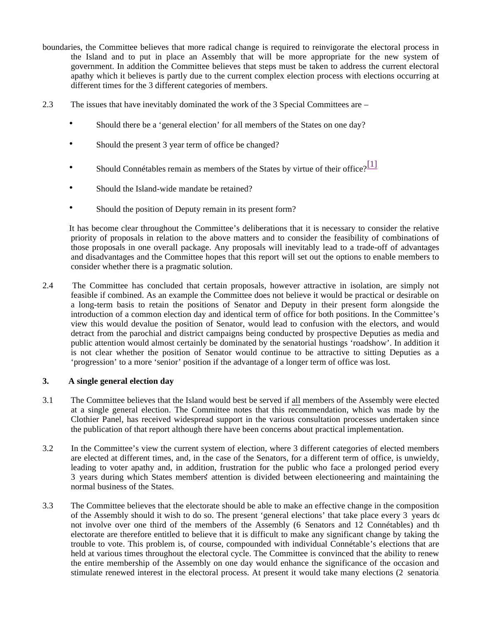- boundaries, the Committee believes that more radical change is required to reinvigorate the electoral process in the Island and to put in place an Assembly that will be more appropriate for the new system of government. In addition the Committee believes that steps must be taken to address the current electoral apathy which it believes is partly due to the current complex election process with elections occurring at different times for the 3 different categories of members.
- 2.3 The issues that have inevitably dominated the work of the 3 Special Committees are
	- Should there be a 'general election' for all members of the States on one day?
	- Should the present 3 year term of office be changed?
	- Should Connétables remain as members of the States by virtue of their office?  $\frac{[1]}{[1]}$
	- Should the Island-wide mandate be retained?
	- Should the position of Deputy remain in its present form?

 It has become clear throughout the Committee's deliberations that it is necessary to consider the relative priority of proposals in relation to the above matters and to consider the feasibility of combinations of those proposals in one overall package. Any proposals will inevitably lead to a trade-off of advantages and disadvantages and the Committee hopes that this report will set out the options to enable members to consider whether there is a pragmatic solution.

2.4 The Committee has concluded that certain proposals, however attractive in isolation, are simply not feasible if combined. As an example the Committee does not believe it would be practical or desirable on a long-term basis to retain the positions of Senator and Deputy in their present form alongside the introduction of a common election day and identical term of office for both positions. In the Committee's view this would devalue the position of Senator, would lead to confusion with the electors, and would detract from the parochial and district campaigns being conducted by prospective Deputies as media and public attention would almost certainly be dominated by the senatorial hustings 'roadshow'. In addition it is not clear whether the position of Senator would continue to be attractive to sitting Deputies as a 'progression' to a more 'senior' position if the advantage of a longer term of office was lost.

#### **3. A single general election day**

- 3.1 The Committee believes that the Island would best be served if all members of the Assembly were elected at a single general election. The Committee notes that this recommendation, which was made by the Clothier Panel, has received widespread support in the various consultation processes undertaken since the publication of that report although there have been concerns about practical implementation.
- 3.2 In the Committee's view the current system of election, where 3 different categories of elected members are elected at different times, and, in the case of the Senators, for a different term of office, is unwieldy, leading to voter apathy and, in addition, frustration for the public who face a prolonged period every 3 years during which States members' attention is divided between electioneering and maintaining the normal business of the States.
- 3.3 The Committee believes that the electorate should be able to make an effective change in the composition of the Assembly should it wish to do so. The present 'general elections' that take place every 3 years do not involve over one third of the members of the Assembly (6 Senators and 12 Connétables) and the electorate are therefore entitled to believe that it is difficult to make any significant change by taking the trouble to vote. This problem is, of course, compounded with individual Connétable's elections that are held at various times throughout the electoral cycle. The Committee is convinced that the ability to renew the entire membership of the Assembly on one day would enhance the significance of the occasion and stimulate renewed interest in the electoral process. At present it would take many elections (2 senatorial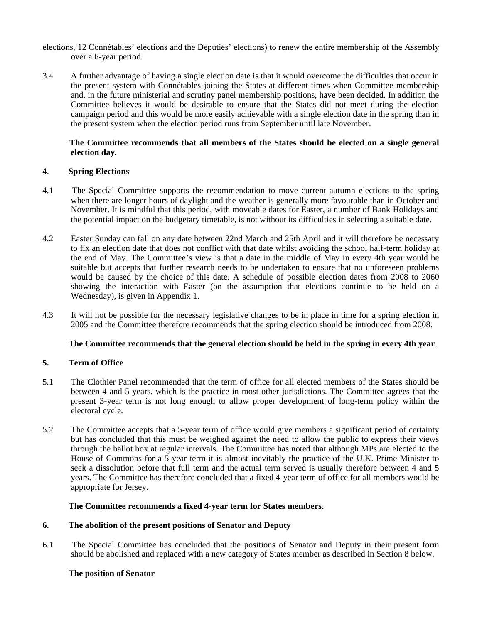- elections, 12 Connétables' elections and the Deputies' elections) to renew the entire membership of the Assembly over a 6-year period.
- 3.4 A further advantage of having a single election date is that it would overcome the difficulties that occur in the present system with Connétables joining the States at different times when Committee membership and, in the future ministerial and scrutiny panel membership positions, have been decided. In addition the Committee believes it would be desirable to ensure that the States did not meet during the election campaign period and this would be more easily achievable with a single election date in the spring than in the present system when the election period runs from September until late November.

#### **The Committee recommends that all members of the States should be elected on a single general election day.**

#### **4**. **Spring Elections**

- 4.1 The Special Committee supports the recommendation to move current autumn elections to the spring when there are longer hours of daylight and the weather is generally more favourable than in October and November. It is mindful that this period, with moveable dates for Easter, a number of Bank Holidays and the potential impact on the budgetary timetable, is not without its difficulties in selecting a suitable date.
- 4.2 Easter Sunday can fall on any date between 22nd March and 25th April and it will therefore be necessary to fix an election date that does not conflict with that date whilst avoiding the school half-term holiday at the end of May. The Committee's view is that a date in the middle of May in every 4th year would be suitable but accepts that further research needs to be undertaken to ensure that no unforeseen problems would be caused by the choice of this date. A schedule of possible election dates from 2008 to 2060 showing the interaction with Easter (on the assumption that elections continue to be held on a Wednesday), is given in Appendix 1.
- 4.3 It will not be possible for the necessary legislative changes to be in place in time for a spring election in 2005 and the Committee therefore recommends that the spring election should be introduced from 2008.

#### **The Committee recommends that the general election should be held in the spring in every 4th year**.

#### **5. Term of Office**

- 5.1 The Clothier Panel recommended that the term of office for all elected members of the States should be between 4 and 5 years, which is the practice in most other jurisdictions. The Committee agrees that the present 3-year term is not long enough to allow proper development of long-term policy within the electoral cycle.
- 5.2 The Committee accepts that a 5-year term of office would give members a significant period of certainty but has concluded that this must be weighed against the need to allow the public to express their views through the ballot box at regular intervals. The Committee has noted that although MPs are elected to the House of Commons for a 5-year term it is almost inevitably the practice of the U.K. Prime Minister to seek a dissolution before that full term and the actual term served is usually therefore between 4 and 5 years. The Committee has therefore concluded that a fixed 4-year term of office for all members would be appropriate for Jersey.

#### **The Committee recommends a fixed 4-year term for States members.**

#### **6. The abolition of the present positions of Senator and Deputy**

6.1 The Special Committee has concluded that the positions of Senator and Deputy in their present form should be abolished and replaced with a new category of States member as described in Section 8 below.

#### **The position of Senator**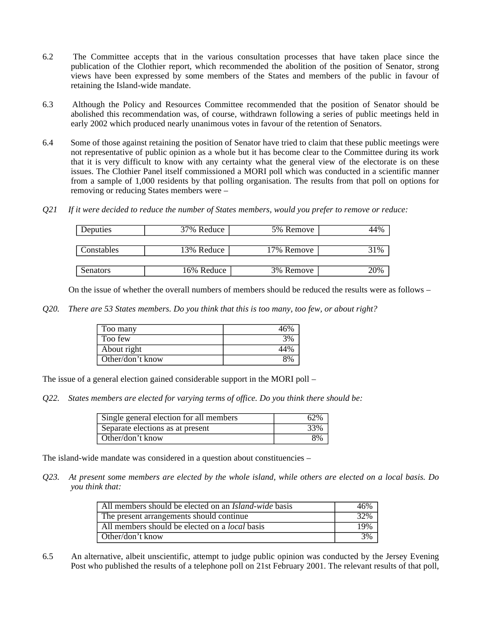- 6.2 The Committee accepts that in the various consultation processes that have taken place since the publication of the Clothier report, which recommended the abolition of the position of Senator, strong views have been expressed by some members of the States and members of the public in favour of retaining the Island-wide mandate.
- 6.3 Although the Policy and Resources Committee recommended that the position of Senator should be abolished this recommendation was, of course, withdrawn following a series of public meetings held in early 2002 which produced nearly unanimous votes in favour of the retention of Senators.
- 6.4 Some of those against retaining the position of Senator have tried to claim that these public meetings were not representative of public opinion as a whole but it has become clear to the Committee during its work that it is very difficult to know with any certainty what the general view of the electorate is on these issues. The Clothier Panel itself commissioned a MORI poll which was conducted in a scientific manner from a sample of 1,000 residents by that polling organisation. The results from that poll on options for removing or reducing States members were –
- *Q21 If it were decided to reduce the number of States members, would you prefer to remove or reduce:*

| Deputies   | 37% Reduce | 5% Remove  |     |
|------------|------------|------------|-----|
|            |            |            |     |
| Constables | 13% Reduce | 17% Remove | 31% |
|            |            |            |     |
| Senators   | 16% Reduce | 3% Remove  | 20% |

On the issue of whether the overall numbers of members should be reduced the results were as follows –

*Q20. There are 53 States members. Do you think that this is too many, too few, or about right?*

| Too many         | 46% |
|------------------|-----|
| Too few          | 3%  |
| About right      | 44% |
| Other/don't know | 80/ |

The issue of a general election gained considerable support in the MORI poll –

*Q22. States members are elected for varying terms of office. Do you think there should be:*

| Single general election for all members | 62% |
|-----------------------------------------|-----|
| Separate elections as at present        | 33% |
| Other/don't know                        | 8%  |

The island-wide mandate was considered in a question about constituencies –

*Q23. At present some members are elected by the whole island, while others are elected on a local basis. Do you think that:*

| All members should be elected on an <i>Island-wide</i> basis | 46% |
|--------------------------------------------------------------|-----|
| The present arrangements should continue                     | 32% |
| All members should be elected on a <i>local</i> basis        | 19% |
| Other/don't know                                             | 3%  |

6.5 An alternative, albeit unscientific, attempt to judge public opinion was conducted by the Jersey Evening Post who published the results of a telephone poll on 21st February 2001. The relevant results of that poll,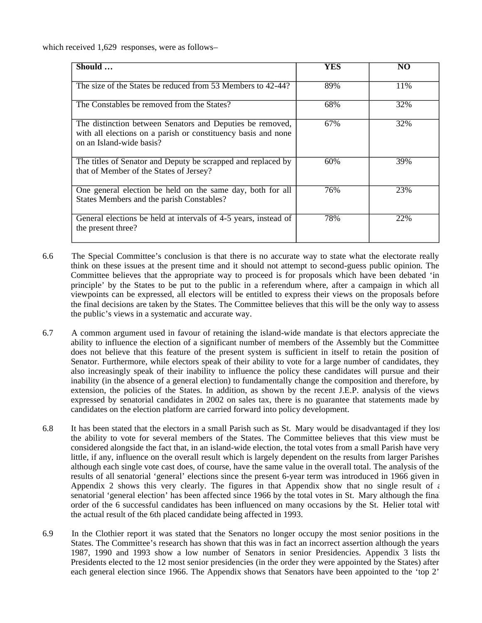which received 1,629 responses, were as follows-

| Should                                                                                                                                                 | YES | NO   |
|--------------------------------------------------------------------------------------------------------------------------------------------------------|-----|------|
| The size of the States be reduced from 53 Members to 42-44?                                                                                            | 89% | 11\% |
| The Constables be removed from the States?                                                                                                             | 68% | 32%  |
| The distinction between Senators and Deputies be removed,<br>with all elections on a parish or constituency basis and none<br>on an Island-wide basis? | 67% | 32%  |
| The titles of Senator and Deputy be scrapped and replaced by<br>that of Member of the States of Jersey?                                                | 60% | 39%  |
| One general election be held on the same day, both for all<br>States Members and the parish Constables?                                                | 76% | 23%  |
| General elections be held at intervals of 4-5 years, instead of<br>the present three?                                                                  | 78% | 22%  |

- 6.6 The Special Committee's conclusion is that there is no accurate way to state what the electorate really think on these issues at the present time and it should not attempt to second-guess public opinion. The Committee believes that the appropriate way to proceed is for proposals which have been debated 'in principle' by the States to be put to the public in a referendum where, after a campaign in which all viewpoints can be expressed, all electors will be entitled to express their views on the proposals before the final decisions are taken by the States. The Committee believes that this will be the only way to assess the public's views in a systematic and accurate way.
- 6.7 A common argument used in favour of retaining the island-wide mandate is that electors appreciate the ability to influence the election of a significant number of members of the Assembly but the Committee does not believe that this feature of the present system is sufficient in itself to retain the position of Senator. Furthermore, while electors speak of their ability to vote for a large number of candidates, they also increasingly speak of their inability to influence the policy these candidates will pursue and their inability (in the absence of a general election) to fundamentally change the composition and therefore, by extension, the policies of the States. In addition, as shown by the recent J.E.P. analysis of the views expressed by senatorial candidates in 2002 on sales tax, there is no guarantee that statements made by candidates on the election platform are carried forward into policy development.
- 6.8 It has been stated that the electors in a small Parish such as St. Mary would be disadvantaged if they lost the ability to vote for several members of the States. The Committee believes that this view must be considered alongside the fact that, in an island-wide election, the total votes from a small Parish have very little, if any, influence on the overall result which is largely dependent on the results from larger Parishes although each single vote cast does, of course, have the same value in the overall total. The analysis of the results of all senatorial 'general' elections since the present 6-year term was introduced in 1966 given in Appendix 2 shows this very clearly. The figures in that Appendix show that no single result of  $\epsilon$ senatorial 'general election' has been affected since 1966 by the total votes in St. Mary although the final order of the 6 successful candidates has been influenced on many occasions by the St. Helier total with the actual result of the 6th placed candidate being affected in 1993.
- 6.9 In the Clothier report it was stated that the Senators no longer occupy the most senior positions in the States. The Committee's research has shown that this was in fact an incorrect assertion although the years 1987, 1990 and 1993 show a low number of Senators in senior Presidencies. Appendix 3 lists the Presidents elected to the 12 most senior presidencies (in the order they were appointed by the States) after each general election since 1966. The Appendix shows that Senators have been appointed to the 'top 2'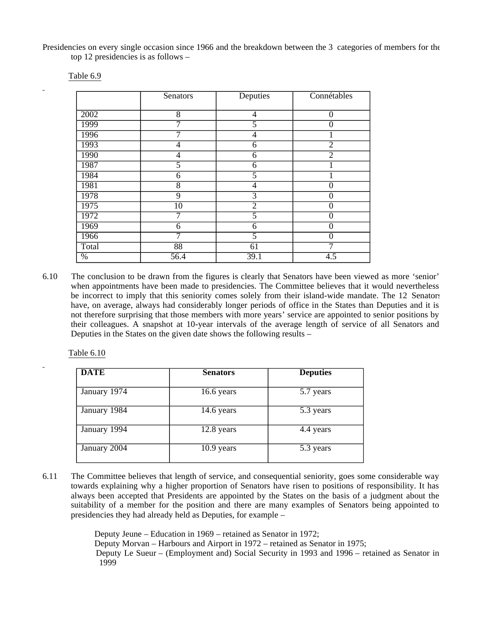Presidencies on every single occasion since 1966 and the breakdown between the 3 categories of members for the top 12 presidencies is as follows –

|       | Senators        | Deputies       | Connétables      |
|-------|-----------------|----------------|------------------|
|       |                 |                |                  |
| 2002  | $\overline{8}$  | 4              | $\overline{0}$   |
| 1999  | 7               | 5              | $\Omega$         |
| 1996  | 7               | 4              |                  |
| 1993  | 4               | 6              | $\overline{2}$   |
| 1990  | 4               | 6              | $\overline{2}$   |
| 1987  | 5               | 6              |                  |
| 1984  | 6               | 5              |                  |
| 1981  | 8               | 4              | $\theta$         |
| 1978  | 9               | $\overline{3}$ | 0                |
| 1975  | $\overline{10}$ | $\overline{2}$ | $\theta$         |
| 1972  | 7               | 5              | $\theta$         |
| 1969  | 6               | 6              | $\Omega$         |
| 1966  | 7               | 5              | 0                |
| Total | 88              | 61             |                  |
| $\%$  | 56.4            | 39.1           | $\overline{4.5}$ |

Table 6.9

6.10 The conclusion to be drawn from the figures is clearly that Senators have been viewed as more 'senior' when appointments have been made to presidencies. The Committee believes that it would nevertheless be incorrect to imply that this seniority comes solely from their island-wide mandate. The 12 Senators have, on average, always had considerably longer periods of office in the States than Deputies and it is not therefore surprising that those members with more years' service are appointed to senior positions by their colleagues. A snapshot at 10-year intervals of the average length of service of all Senators and Deputies in the States on the given date shows the following results –

Table 6.10

| <b>DATE</b>  | <b>Senators</b> | <b>Deputies</b> |
|--------------|-----------------|-----------------|
| January 1974 | 16.6 years      | 5.7 years       |
| January 1984 | 14.6 years      | 5.3 years       |
| January 1994 | 12.8 years      | 4.4 years       |
| January 2004 | $10.9$ years    | 5.3 years       |

6.11 The Committee believes that length of service, and consequential seniority, goes some considerable way towards explaining why a higher proportion of Senators have risen to positions of responsibility. It has always been accepted that Presidents are appointed by the States on the basis of a judgment about the suitability of a member for the position and there are many examples of Senators being appointed to presidencies they had already held as Deputies, for example –

> Deputy Jeune – Education in 1969 – retained as Senator in 1972; Deputy Morvan – Harbours and Airport in 1972 – retained as Senator in 1975; Deputy Le Sueur – (Employment and) Social Security in 1993 and 1996 – retained as Senator in 1999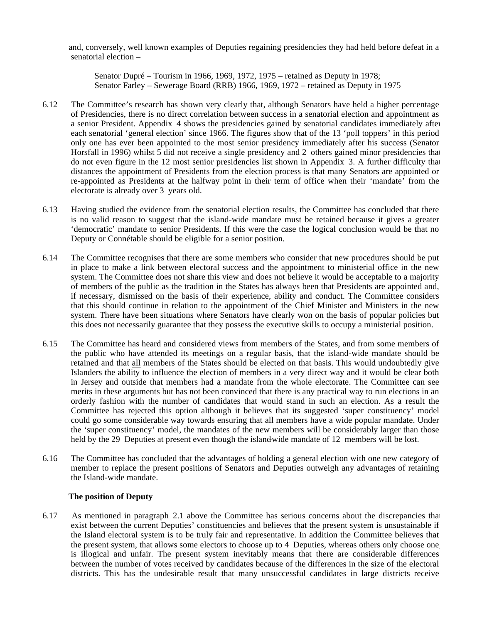and, conversely, well known examples of Deputies regaining presidencies they had held before defeat in a senatorial election –

 Senator Dupré – Tourism in 1966, 1969, 1972, 1975 – retained as Deputy in 1978; Senator Farley – Sewerage Board (RRB) 1966, 1969, 1972 – retained as Deputy in 1975

- 6.12 The Committee's research has shown very clearly that, although Senators have held a higher percentage of Presidencies, there is no direct correlation between success in a senatorial election and appointment as a senior President. Appendix 4 shows the presidencies gained by senatorial candidates immediately after each senatorial 'general election' since 1966. The figures show that of the 13 'poll toppers' in this period only one has ever been appointed to the most senior presidency immediately after his success (Senator Horsfall in 1996) whilst 5 did not receive a single presidency and 2 others gained minor presidencies that do not even figure in the 12 most senior presidencies list shown in Appendix 3. A further difficulty that distances the appointment of Presidents from the election process is that many Senators are appointed or re-appointed as Presidents at the halfway point in their term of office when their 'mandate' from the electorate is already over 3 years old.
- 6.13 Having studied the evidence from the senatorial election results, the Committee has concluded that there is no valid reason to suggest that the island-wide mandate must be retained because it gives a greater 'democratic' mandate to senior Presidents. If this were the case the logical conclusion would be that no Deputy or Connétable should be eligible for a senior position.
- 6.14 The Committee recognises that there are some members who consider that new procedures should be put in place to make a link between electoral success and the appointment to ministerial office in the new system. The Committee does not share this view and does not believe it would be acceptable to a majority of members of the public as the tradition in the States has always been that Presidents are appointed and, if necessary, dismissed on the basis of their experience, ability and conduct. The Committee considers that this should continue in relation to the appointment of the Chief Minister and Ministers in the new system. There have been situations where Senators have clearly won on the basis of popular policies but this does not necessarily guarantee that they possess the executive skills to occupy a ministerial position.
- 6.15 The Committee has heard and considered views from members of the States, and from some members of the public who have attended its meetings on a regular basis, that the island-wide mandate should be retained and that all members of the States should be elected on that basis. This would undoubtedly give Islanders the ability to influence the election of members in a very direct way and it would be clear both in Jersey and outside that members had a mandate from the whole electorate. The Committee can see merits in these arguments but has not been convinced that there is any practical way to run elections in an orderly fashion with the number of candidates that would stand in such an election. As a result the Committee has rejected this option although it believes that its suggested 'super constituency' model could go some considerable way towards ensuring that all members have a wide popular mandate. Under the 'super constituency' model, the mandates of the new members will be considerably larger than those held by the 29 Deputies at present even though the island-wide mandate of 12 members will be lost.
- 6.16 The Committee has concluded that the advantages of holding a general election with one new category of member to replace the present positions of Senators and Deputies outweigh any advantages of retaining the Island-wide mandate.

#### **The position of Deputy**

6.17 As mentioned in paragraph 2.1 above the Committee has serious concerns about the discrepancies that exist between the current Deputies' constituencies and believes that the present system is unsustainable if the Island electoral system is to be truly fair and representative. In addition the Committee believes that the present system, that allows some electors to choose up to 4 Deputies, whereas others only choose one is illogical and unfair. The present system inevitably means that there are considerable differences between the number of votes received by candidates because of the differences in the size of the electoral districts. This has the undesirable result that many unsuccessful candidates in large districts receive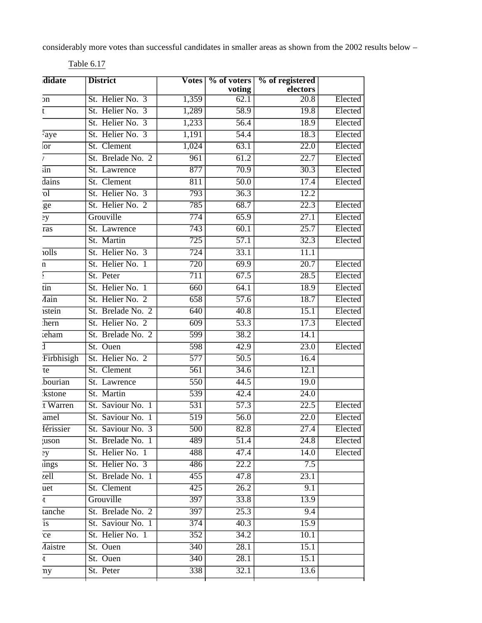considerably more votes than successful candidates in smaller areas as shown from the 2002 results below –

| didate                          | <b>District</b>   |                  | Votes   % of voters | % of registered   |         |
|---------------------------------|-------------------|------------------|---------------------|-------------------|---------|
|                                 |                   |                  | voting              | electors          |         |
| эn                              | St. Helier No. 3  | 1,359            | 62.1                | $\overline{20.8}$ | Elected |
| t                               | St. Helier No. 3  | 1,289            | 58.9                | 19.8              | Elected |
|                                 | St. Helier No. 3  | 1,233            | 56.4                | 18.9              | Elected |
| Faye                            | St. Helier No. 3  | 1,191            | 54.4                | 18.3              | Elected |
| lor                             | St. Clement       | 1,024            | 63.1                | $\overline{22.0}$ | Elected |
| L                               | St. Brelade No. 2 | 961              | 61.2                | 22.7              | Elected |
| sin                             | St. Lawrence      | 877              | 70.9                | 30.3              | Elected |
| dains                           | St. Clement       | 811              | 50.0                | 17.4              | Elected |
| $\overline{ol}$                 | St. Helier No. 3  | 793              | 36.3                | 12.2              |         |
| ge                              | St. Helier No. 2  | 785              | 68.7                | $\overline{22.3}$ | Elected |
| 2y                              | Grouville         | 774              | 65.9                | 27.1              | Elected |
| ras                             | St. Lawrence      | 743              | 60.1                | 25.7              | Elected |
|                                 | St. Martin        | 725              | 57.1                | 32.3              | Elected |
| iolls                           | St. Helier No. 3  | 724              | 33.1                | 11.1              |         |
| n                               | St. Helier No. 1  | $\overline{720}$ | 69.9                | $\overline{20.7}$ | Elected |
|                                 | St. Peter         | 711              | 67.5                | 28.5              | Elected |
| $\overline{\text{tin}}$         | St. Helier No. 1  | 660              | 64.1                | 18.9              | Elected |
| <i><b>Aain</b></i>              | St. Helier No. 2  | 658              | $\overline{57.6}$   | 18.7              | Elected |
| istein                          | St. Brelade No. 2 | 640              | $\overline{40.8}$   | 15.1              | Elected |
| hern                            | St. Helier No. 2  | 609              | 53.3                | 17.3              | Elected |
| teham                           | St. Brelade No. 2 | 599              | 38.2                | 14.1              |         |
| $\bar{1}$                       | St. Ouen          | $\overline{598}$ | 42.9                | $\overline{23.0}$ | Elected |
| Firbhisigh                      | St. Helier No. 2  | $\overline{577}$ | $\overline{50.5}$   | 16.4              |         |
| te                              | St. Clement       | $\overline{561}$ | $\overline{34.6}$   | 12.1              |         |
| bourian                         | St. Lawrence      | $\overline{550}$ | 44.5                | 19.0              |         |
| kstone                          | St. Martin        | 539              | 42.4                | $\overline{24.0}$ |         |
| t Warren                        | St. Saviour No. 1 | 531              | 57.3                | 22.5              | Elected |
| amel                            | St. Saviour No. 1 | $\overline{519}$ | $\overline{56.0}$   | 22.0              | Elected |
| <i><u><b>I</b></u></i> erissier | St. Saviour No. 3 | $\overline{500}$ | 82.8                | 27.4              | Elected |
| uson;                           | St. Brelade No. 1 | 489              | $\overline{51.4}$   | 24.8              | Elected |
| 2y                              | St. Helier No. 1  | 488              | 47.4                | $\overline{14.0}$ | Elected |
| ings                            | St. Helier No. 3  | 486              | 22.2                | $\overline{7.5}$  |         |
| zell                            | St. Brelade No. 1 | 455              | 47.8                | 23.1              |         |
| uet                             | St. Clement       | 425              | 26.2                | 9.1               |         |
| t                               | Grouville         | $\overline{397}$ | 33.8                | 13.9              |         |
| tanche                          | St. Brelade No. 2 | $\overline{397}$ | $\overline{25.3}$   | 9.4               |         |
| $\overline{is}$                 | St. Saviour No. 1 | $\frac{374}{ }$  | 40.3                | 15.9              |         |
| ce                              | St. Helier No. 1  | $\overline{352}$ | 34.2                | 10.1              |         |
| <i>Aaistre</i>                  | St. Ouen          | $\overline{340}$ | 28.1                | 15.1              |         |
| t                               | St. Ouen          | $\overline{340}$ | 28.1                | 15.1              |         |
| ny                              | St. Peter         | 338              | 32.1                | 13.6              |         |

Table 6.17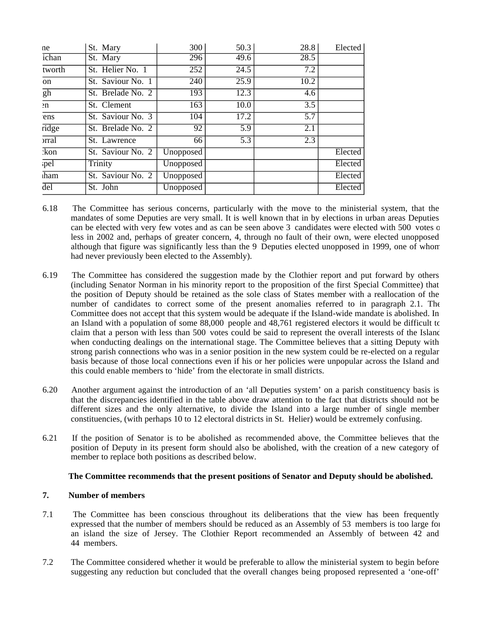| ne               | St. Mary            | 300       | 50.3 | 28.8 | Elected |
|------------------|---------------------|-----------|------|------|---------|
| ichan            | St. Mary            | 296       | 49.6 | 28.5 |         |
| tworth           | St. Helier No. 1    | 252       | 24.5 | 7.2  |         |
| <sub>on</sub>    | St. Saviour No. 1   | 240       | 25.9 | 10.2 |         |
| gh               | St. Brelade No. 2   | 193       | 12.3 | 4.6  |         |
| $\mathbf{m}$     | St. Clement         | 163       | 10.0 | 3.5  |         |
| ens              | St. Saviour No. 3   | 104       | 17.2 | 5.7  |         |
| ridge            | St. Brelade No. 2   | 92        | 5.9  | 2.1  |         |
| <sub>rral</sub>  | St. Lawrence        | 66        | 5.3  | 2.3  |         |
| :kon             | $St.$ Saviour No. 2 | Unopposed |      |      | Elected |
| pel              | Trinity             | Unopposed |      |      | Elected |
| <b>ham</b>       | St. Saviour No. 2   | Unopposed |      |      | Elected |
| $\overline{del}$ | St. John            | Unopposed |      |      | Elected |

- 6.18 The Committee has serious concerns, particularly with the move to the ministerial system, that the mandates of some Deputies are very small. It is well known that in by elections in urban areas Deputies can be elected with very few votes and as can be seen above 3 candidates were elected with 500 votes or less in 2002 and, perhaps of greater concern, 4, through no fault of their own, were elected unopposed although that figure was significantly less than the 9 Deputies elected unopposed in 1999, one of whom had never previously been elected to the Assembly).
- 6.19 The Committee has considered the suggestion made by the Clothier report and put forward by others (including Senator Norman in his minority report to the proposition of the first Special Committee) that the position of Deputy should be retained as the sole class of States member with a reallocation of the number of candidates to correct some of the present anomalies referred to in paragraph 2.1. The Committee does not accept that this system would be adequate if the Island-wide mandate is abolished. In an Island with a population of some 88,000 people and 48,761 registered electors it would be difficult to claim that a person with less than 500 votes could be said to represent the overall interests of the Island when conducting dealings on the international stage. The Committee believes that a sitting Deputy with strong parish connections who was in a senior position in the new system could be re-elected on a regular basis because of those local connections even if his or her policies were unpopular across the Island and this could enable members to 'hide' from the electorate in small districts.
- 6.20 Another argument against the introduction of an 'all Deputies system' on a parish constituency basis is that the discrepancies identified in the table above draw attention to the fact that districts should not be different sizes and the only alternative, to divide the Island into a large number of single member constituencies, (with perhaps 10 to 12 electoral districts in St. Helier) would be extremely confusing.
- 6.21 If the position of Senator is to be abolished as recommended above, the Committee believes that the position of Deputy in its present form should also be abolished, with the creation of a new category of member to replace both positions as described below.

#### **The Committee recommends that the present positions of Senator and Deputy should be abolished.**

#### **7. Number of members**

- 7.1 The Committee has been conscious throughout its deliberations that the view has been frequently expressed that the number of members should be reduced as an Assembly of 53 members is too large for an island the size of Jersey. The Clothier Report recommended an Assembly of between 42 and 44 members.
- 7.2 The Committee considered whether it would be preferable to allow the ministerial system to begin before suggesting any reduction but concluded that the overall changes being proposed represented a 'one-off'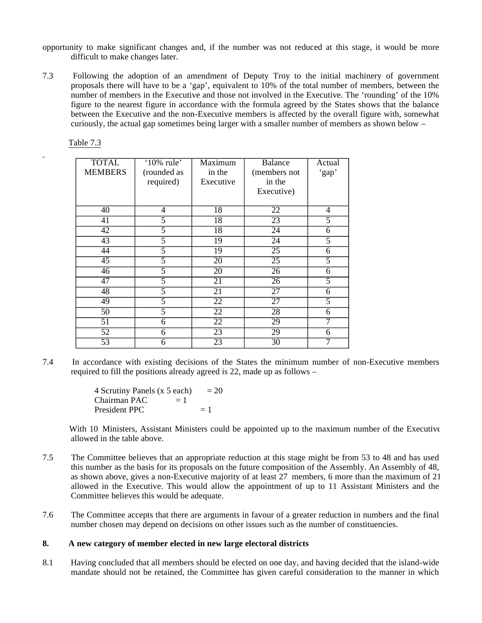- opportunity to make significant changes and, if the number was not reduced at this stage, it would be more difficult to make changes later.
- 7.3 Following the adoption of an amendment of Deputy Troy to the initial machinery of government proposals there will have to be a 'gap', equivalent to 10% of the total number of members, between the number of members in the Executive and those not involved in the Executive. The 'rounding' of the 10% figure to the nearest figure in accordance with the formula agreed by the States shows that the balance between the Executive and the non-Executive members is affected by the overall figure with, somewhat curiously, the actual gap sometimes being larger with a smaller number of members as shown below –

Table 7.3

| <b>TOTAL</b><br><b>MEMBERS</b> | '10% rule'<br>(rounded as<br>required) | Maximum<br>in the<br>Executive | <b>Balance</b><br>(members not<br>in the<br>Executive) | Actual<br>'gap' |
|--------------------------------|----------------------------------------|--------------------------------|--------------------------------------------------------|-----------------|
| 40                             | 4                                      | 18                             | 22                                                     | 4               |
| $\overline{41}$                | 5                                      | $\overline{18}$                | $\overline{23}$                                        | $\overline{5}$  |
| $\overline{42}$                | 5                                      | 18                             | $\overline{24}$                                        | 6               |
| $\overline{43}$                | 5                                      | 19                             | $\overline{24}$                                        | 5               |
| 44                             | 5                                      | $\overline{19}$                | $\overline{25}$                                        | 6               |
| $\overline{45}$                | 5                                      | 20                             | $\overline{25}$                                        | 5               |
| 46                             | 5                                      | 20                             | 26                                                     | 6               |
| $\overline{47}$                | 5                                      | 21                             | 26                                                     | 5               |
| 48                             | $\overline{5}$                         | $\overline{21}$                | $\overline{27}$                                        | 6               |
| 49                             | 5                                      | $\overline{22}$                | $\overline{27}$                                        | 5               |
| $\overline{50}$                | $\overline{5}$                         | $\overline{22}$                | $\overline{28}$                                        | 6               |
| 51                             | 6                                      | $\overline{22}$                | 29                                                     | 7               |
| $\overline{52}$                | 6                                      | $\overline{23}$                | 29                                                     | 6               |
| $\overline{53}$                | $\overline{6}$                         | $\overline{23}$                | $\overline{30}$                                        | 7               |

7.4 In accordance with existing decisions of the States the minimum number of non-Executive members required to fill the positions already agreed is 22, made up as follows –

> 4 Scrutiny Panels  $(x 5 each) = 20$  $Chairman PAC = 1$ President PPC  $= 1$

 With 10 Ministers, Assistant Ministers could be appointed up to the maximum number of the Executive allowed in the table above.

- 7.5 The Committee believes that an appropriate reduction at this stage might be from 53 to 48 and has used this number as the basis for its proposals on the future composition of the Assembly. An Assembly of 48, as shown above, gives a non-Executive majority of at least 27 members, 6 more than the maximum of 21 allowed in the Executive. This would allow the appointment of up to 11 Assistant Ministers and the Committee believes this would be adequate.
- 7.6 The Committee accepts that there are arguments in favour of a greater reduction in numbers and the final number chosen may depend on decisions on other issues such as the number of constituencies.

#### **8. A new category of member elected in new large electoral districts**

8.1 Having concluded that all members should be elected on one day, and having decided that the island-wide mandate should not be retained, the Committee has given careful consideration to the manner in which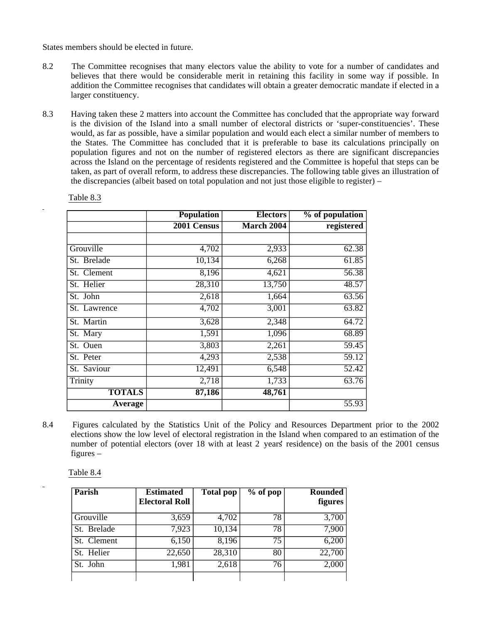States members should be elected in future.

- 8.2 The Committee recognises that many electors value the ability to vote for a number of candidates and believes that there would be considerable merit in retaining this facility in some way if possible. In addition the Committee recognises that candidates will obtain a greater democratic mandate if elected in a larger constituency.
- 8.3 Having taken these 2 matters into account the Committee has concluded that the appropriate way forward is the division of the Island into a small number of electoral districts or 'super-constituencies'. These would, as far as possible, have a similar population and would each elect a similar number of members to the States. The Committee has concluded that it is preferable to base its calculations principally on population figures and not on the number of registered electors as there are significant discrepancies across the Island on the percentage of residents registered and the Committee is hopeful that steps can be taken, as part of overall reform, to address these discrepancies. The following table gives an illustration of the discrepancies (albeit based on total population and not just those eligible to register) –

|               | <b>Population</b> | <b>Electors</b> | % of population |
|---------------|-------------------|-----------------|-----------------|
|               | 2001 Census       | March 2004      | registered      |
|               |                   |                 |                 |
| Grouville     | 4,702             | 2,933           | 62.38           |
| St. Brelade   | 10,134            | 6,268           | 61.85           |
| St. Clement   | 8,196             | 4,621           | 56.38           |
| St. Helier    | 28,310            | 13,750          | 48.57           |
| St. John      | 2,618             | 1,664           | 63.56           |
| St. Lawrence  | 4,702             | 3,001           | 63.82           |
| St. Martin    | 3,628             | 2,348           | 64.72           |
| St. Mary      | 1,591             | 1,096           | 68.89           |
| St. Ouen      | 3,803             | 2,261           | 59.45           |
| St. Peter     | 4,293             | 2,538           | 59.12           |
| St. Saviour   | 12,491            | 6,548           | 52.42           |
| Trinity       | 2,718             | 1,733           | 63.76           |
| <b>TOTALS</b> | 87,186            | 48,761          |                 |
| Average       |                   |                 | 55.93           |

Table 8.3

8.4 Figures calculated by the Statistics Unit of the Policy and Resources Department prior to the 2002 elections show the low level of electoral registration in the Island when compared to an estimation of the number of potential electors (over 18 with at least 2 years' residence) on the basis of the 2001 census figures –

Table 8.4

| Parish      | <b>Estimated</b><br><b>Electoral Roll</b> | <b>Total pop</b> | $%$ of pop | <b>Rounded</b><br>figures |
|-------------|-------------------------------------------|------------------|------------|---------------------------|
| Grouville   | 3,659                                     | 4,702            | 78         | 3,700                     |
| St. Brelade | 7,923                                     | 10,134           | 78         | 7,900                     |
| St. Clement | 6,150                                     | 8,196            | 75         | 6,200                     |
| St. Helier  | 22,650                                    | 28,310           | 80         | 22,700                    |
| St. John    | 1,981                                     | 2,618            | 76         | 2,000                     |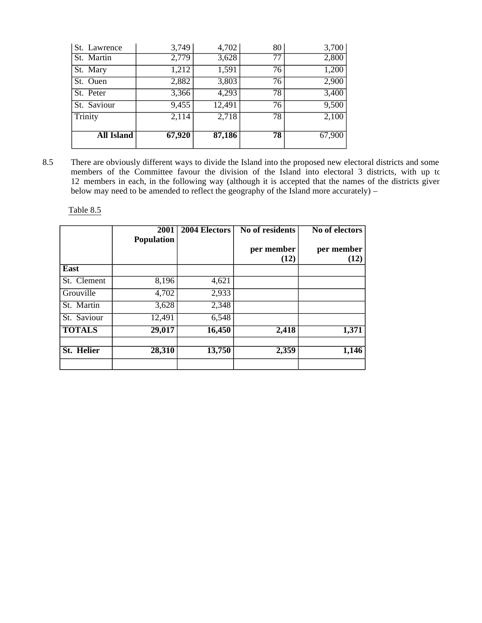| St. Lawrence      | 3,749  | 4,702  | 80 | 3,700  |
|-------------------|--------|--------|----|--------|
| St. Martin        | 2,779  | 3,628  | 77 | 2,800  |
| St. Mary          | 1,212  | 1,591  | 76 | 1,200  |
| St. Ouen          | 2,882  | 3,803  | 76 | 2,900  |
| St. Peter         | 3,366  | 4,293  | 78 | 3,400  |
| St. Saviour       | 9,455  | 12,491 | 76 | 9,500  |
| Trinity           | 2,114  | 2,718  | 78 | 2,100  |
| <b>All Island</b> | 67,920 | 87,186 | 78 | 67,900 |

8.5 There are obviously different ways to divide the Island into the proposed new electoral districts and some members of the Committee favour the division of the Island into electoral 3 districts, with up to 12 members in each, in the following way (although it is accepted that the names of the districts given below may need to be amended to reflect the geography of the Island more accurately) –

Table 8.5

|               | 2001<br><b>Population</b> | 2004 Electors | No of residents    | <b>No of electors</b> |
|---------------|---------------------------|---------------|--------------------|-----------------------|
|               |                           |               | per member<br>(12) | per member<br>(12)    |
| East          |                           |               |                    |                       |
| St. Clement   | 8,196                     | 4,621         |                    |                       |
| Grouville     | 4,702                     | 2,933         |                    |                       |
| St. Martin    | 3,628                     | 2,348         |                    |                       |
| St. Saviour   | 12,491                    | 6,548         |                    |                       |
| <b>TOTALS</b> | 29,017                    | 16,450        | 2,418              | 1,371                 |
| St. Helier    | 28,310                    | 13,750        | 2,359              | 1,146                 |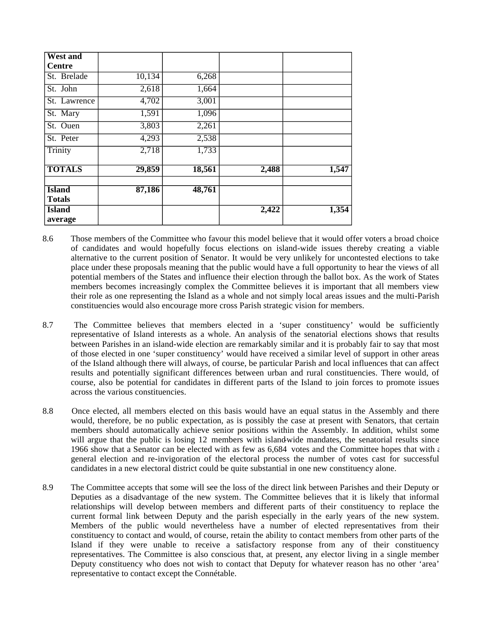| <b>West and</b>                |                    |        |       |       |
|--------------------------------|--------------------|--------|-------|-------|
| <b>Centre</b>                  |                    |        |       |       |
| St. Brelade                    | 10,134             | 6,268  |       |       |
| St. John                       | $\overline{2,618}$ | 1,664  |       |       |
| St. Lawrence                   | 4,702              | 3,001  |       |       |
| St. Mary                       | 1,591              | 1,096  |       |       |
| St. Ouen                       | 3,803              | 2,261  |       |       |
| St. Peter                      | 4,293              | 2,538  |       |       |
| Trinity                        | 2,718              | 1,733  |       |       |
| <b>TOTALS</b>                  | 29,859             | 18,561 | 2,488 | 1,547 |
| <b>Island</b><br><b>Totals</b> | 87,186             | 48,761 |       |       |
| <b>Island</b>                  |                    |        | 2,422 | 1,354 |
| average                        |                    |        |       |       |

- 8.6 Those members of the Committee who favour this model believe that it would offer voters a broad choice of candidates and would hopefully focus elections on island-wide issues thereby creating a viable alternative to the current position of Senator. It would be very unlikely for uncontested elections to take place under these proposals meaning that the public would have a full opportunity to hear the views of all potential members of the States and influence their election through the ballot box. As the work of States members becomes increasingly complex the Committee believes it is important that all members view their role as one representing the Island as a whole and not simply local areas issues and the multi-Parish constituencies would also encourage more cross Parish strategic vision for members.
- 8.7 The Committee believes that members elected in a 'super constituency' would be sufficiently representative of Island interests as a whole. An analysis of the senatorial elections shows that results between Parishes in an island-wide election are remarkably similar and it is probably fair to say that most of those elected in one 'super constituency' would have received a similar level of support in other areas of the Island although there will always, of course, be particular Parish and local influences that can affect results and potentially significant differences between urban and rural constituencies. There would, of course, also be potential for candidates in different parts of the Island to join forces to promote issues across the various constituencies.
- 8.8 Once elected, all members elected on this basis would have an equal status in the Assembly and there would, therefore, be no public expectation, as is possibly the case at present with Senators, that certain members should automatically achieve senior positions within the Assembly. In addition, whilst some will argue that the public is losing 12 members with island-wide mandates, the senatorial results since 1966 show that a Senator can be elected with as few as  $6,684$  votes and the Committee hopes that with  $\epsilon$ general election and re-invigoration of the electoral process the number of votes cast for successful candidates in a new electoral district could be quite substantial in one new constituency alone.
- 8.9 The Committee accepts that some will see the loss of the direct link between Parishes and their Deputy or Deputies as a disadvantage of the new system. The Committee believes that it is likely that informal relationships will develop between members and different parts of their constituency to replace the current formal link between Deputy and the parish especially in the early years of the new system. Members of the public would nevertheless have a number of elected representatives from their constituency to contact and would, of course, retain the ability to contact members from other parts of the Island if they were unable to receive a satisfactory response from any of their constituency representatives. The Committee is also conscious that, at present, any elector living in a single member Deputy constituency who does not wish to contact that Deputy for whatever reason has no other 'area' representative to contact except the Connétable.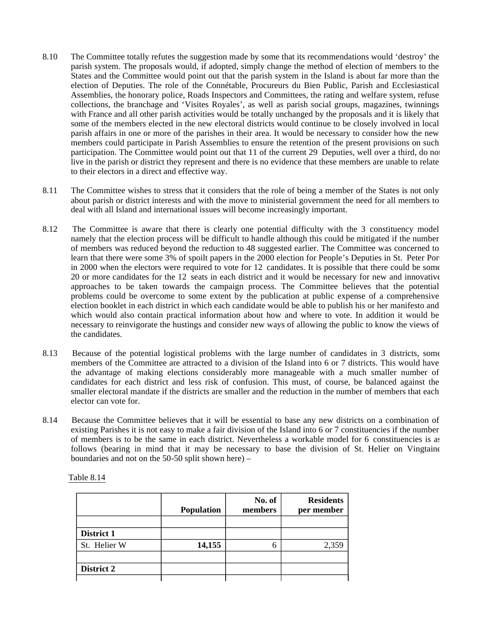- 8.10 The Committee totally refutes the suggestion made by some that its recommendations would 'destroy' the parish system. The proposals would, if adopted, simply change the method of election of members to the States and the Committee would point out that the parish system in the Island is about far more than the election of Deputies. The role of the Connétable, Procureurs du Bien Public, Parish and Ecclesiastical Assemblies, the honorary police, Roads Inspectors and Committees, the rating and welfare system, refuse collections, the branchage and 'Visites Royales', as well as parish social groups, magazines, twinnings with France and all other parish activities would be totally unchanged by the proposals and it is likely that some of the members elected in the new electoral districts would continue to be closely involved in local parish affairs in one or more of the parishes in their area. It would be necessary to consider how the new members could participate in Parish Assemblies to ensure the retention of the present provisions on such participation. The Committee would point out that 11 of the current 29 Deputies, well over a third, do not live in the parish or district they represent and there is no evidence that these members are unable to relate to their electors in a direct and effective way.
- 8.11 The Committee wishes to stress that it considers that the role of being a member of the States is not only about parish or district interests and with the move to ministerial government the need for all members to deal with all Island and international issues will become increasingly important.
- 8.12 The Committee is aware that there is clearly one potential difficulty with the 3 constituency model namely that the election process will be difficult to handle although this could be mitigated if the number of members was reduced beyond the reduction to 48 suggested earlier. The Committee was concerned to learn that there were some 3% of spoilt papers in the 2000 election for People's Deputies in St. Peter Por in 2000 when the electors were required to vote for 12 candidates. It is possible that there could be some 20 or more candidates for the 12 seats in each district and it would be necessary for new and innovative approaches to be taken towards the campaign process. The Committee believes that the potential problems could be overcome to some extent by the publication at public expense of a comprehensive election booklet in each district in which each candidate would be able to publish his or her manifesto and which would also contain practical information about how and where to vote. In addition it would be necessary to reinvigorate the hustings and consider new ways of allowing the public to know the views of the candidates.
- 8.13 Because of the potential logistical problems with the large number of candidates in 3 districts, some members of the Committee are attracted to a division of the Island into 6 or 7 districts. This would have the advantage of making elections considerably more manageable with a much smaller number of candidates for each district and less risk of confusion. This must, of course, be balanced against the smaller electoral mandate if the districts are smaller and the reduction in the number of members that each elector can vote for.
- 8.14 Because the Committee believes that it will be essential to base any new districts on a combination of existing Parishes it is not easy to make a fair division of the Island into 6 or 7 constituencies if the number of members is to be the same in each district. Nevertheless a workable model for 6 constituencies is as follows (bearing in mind that it may be necessary to base the division of St. Helier on Vingtaine boundaries and not on the 50-50 split shown here) –

|              | <b>Population</b> | No. of<br>members | <b>Residents</b><br>per member |
|--------------|-------------------|-------------------|--------------------------------|
|              |                   |                   |                                |
| District 1   |                   |                   |                                |
| St. Helier W | 14,155            | 6                 | 2,359                          |
|              |                   |                   |                                |
| District 2   |                   |                   |                                |
|              |                   |                   |                                |

Table 8.14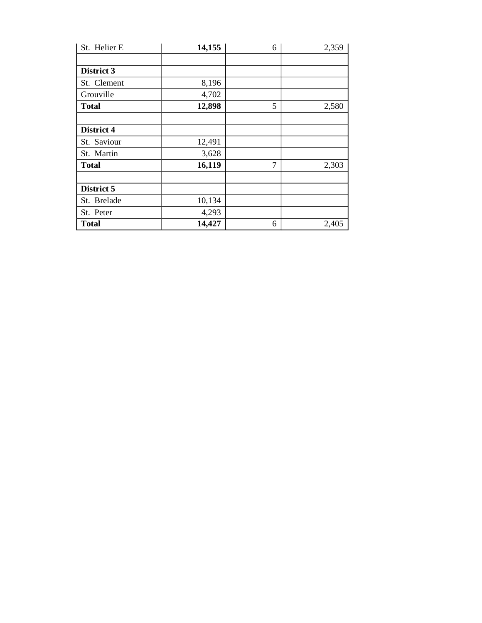| St. Helier E | 14,155 | 6              | 2,359 |
|--------------|--------|----------------|-------|
|              |        |                |       |
| District 3   |        |                |       |
| St. Clement  | 8,196  |                |       |
| Grouville    | 4,702  |                |       |
| <b>Total</b> | 12,898 | 5              | 2,580 |
|              |        |                |       |
| District 4   |        |                |       |
| St. Saviour  | 12,491 |                |       |
| St. Martin   | 3,628  |                |       |
| <b>Total</b> | 16,119 | $\overline{7}$ | 2,303 |
|              |        |                |       |
| District 5   |        |                |       |
| St. Brelade  | 10,134 |                |       |
| St. Peter    | 4,293  |                |       |
| <b>Total</b> | 14,427 | 6              | 2,405 |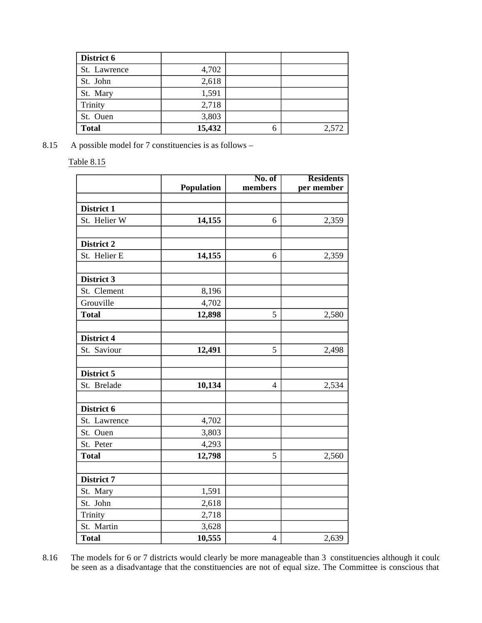| District 6   |        |   |       |
|--------------|--------|---|-------|
| St. Lawrence | 4,702  |   |       |
| St. John     | 2,618  |   |       |
| St. Mary     | 1,591  |   |       |
| Trinity      | 2,718  |   |       |
| St. Ouen     | 3,803  |   |       |
| <b>Total</b> | 15,432 | 6 | 2,572 |

8.15 A possible model for 7 constituencies is as follows –

Table 8.15

|              | <b>Population</b> | No. of<br>members | <b>Residents</b> |
|--------------|-------------------|-------------------|------------------|
|              |                   |                   | per member       |
| District 1   |                   |                   |                  |
| St. Helier W | 14,155            | 6                 | 2,359            |
|              |                   |                   |                  |
| District 2   |                   |                   |                  |
| St. Helier E | 14,155            | 6                 | 2,359            |
|              |                   |                   |                  |
| District 3   |                   |                   |                  |
| St. Clement  | 8,196             |                   |                  |
| Grouville    | 4,702             |                   |                  |
| <b>Total</b> | 12,898            | 5                 | 2,580            |
|              |                   |                   |                  |
| District 4   |                   |                   |                  |
| St. Saviour  | 12,491            | 5                 | 2,498            |
|              |                   |                   |                  |
| District 5   |                   |                   |                  |
| St. Brelade  | 10,134            | $\overline{4}$    | 2,534            |
|              |                   |                   |                  |
| District 6   |                   |                   |                  |
| St. Lawrence | 4,702             |                   |                  |
| St. Ouen     | 3,803             |                   |                  |
| St. Peter    | 4,293             |                   |                  |
| <b>Total</b> | 12,798            | 5                 | 2,560            |
|              |                   |                   |                  |
| District 7   |                   |                   |                  |
| St. Mary     | 1,591             |                   |                  |
| St. John     | 2,618             |                   |                  |
| Trinity      | 2,718             |                   |                  |
| St. Martin   | 3,628             |                   |                  |
| <b>Total</b> | 10,555            | $\overline{4}$    | 2,639            |

8.16 The models for 6 or 7 districts would clearly be more manageable than 3 constituencies although it could be seen as a disadvantage that the constituencies are not of equal size. The Committee is conscious that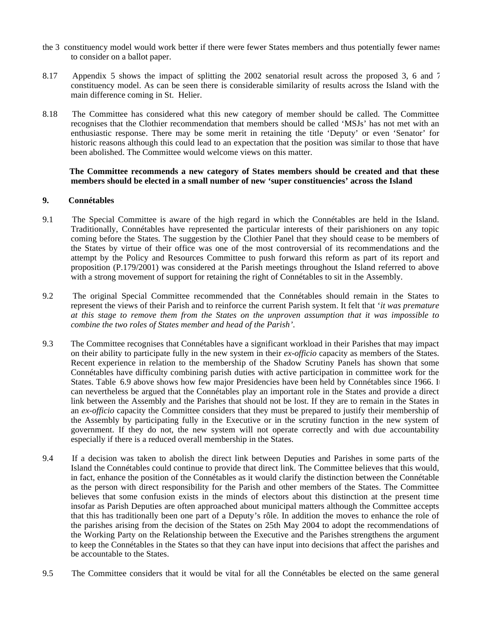- the 3 constituency model would work better if there were fewer States members and thus potentially fewer names to consider on a ballot paper.
- 8.17 Appendix 5 shows the impact of splitting the 2002 senatorial result across the proposed 3, 6 and 7 constituency model. As can be seen there is considerable similarity of results across the Island with the main difference coming in St. Helier.
- 8.18 The Committee has considered what this new category of member should be called. The Committee recognises that the Clothier recommendation that members should be called 'MSJs' has not met with an enthusiastic response. There may be some merit in retaining the title 'Deputy' or even 'Senator' for historic reasons although this could lead to an expectation that the position was similar to those that have been abolished. The Committee would welcome views on this matter.

#### **The Committee recommends a new category of States members should be created and that these members should be elected in a small number of new 'super constituencies' across the Island**

#### **9. Connétables**

- 9.1 The Special Committee is aware of the high regard in which the Connétables are held in the Island. Traditionally, Connétables have represented the particular interests of their parishioners on any topic coming before the States. The suggestion by the Clothier Panel that they should cease to be members of the States by virtue of their office was one of the most controversial of its recommendations and the attempt by the Policy and Resources Committee to push forward this reform as part of its report and proposition (P.179/2001) was considered at the Parish meetings throughout the Island referred to above with a strong movement of support for retaining the right of Connétables to sit in the Assembly.
- 9.2 The original Special Committee recommended that the Connétables should remain in the States to represent the views of their Parish and to reinforce the current Parish system. It felt that '*it was premature at this stage to remove them from the States on the unproven assumption that it was impossible to combine the two roles of States member and head of the Parish'*.
- 9.3 The Committee recognises that Connétables have a significant workload in their Parishes that may impact on their ability to participate fully in the new system in their *ex-officio* capacity as members of the States. Recent experience in relation to the membership of the Shadow Scrutiny Panels has shown that some Connétables have difficulty combining parish duties with active participation in committee work for the States. Table 6.9 above shows how few major Presidencies have been held by Connétables since 1966. It can nevertheless be argued that the Connétables play an important role in the States and provide a direct link between the Assembly and the Parishes that should not be lost. If they are to remain in the States in an *ex-officio* capacity the Committee considers that they must be prepared to justify their membership of the Assembly by participating fully in the Executive or in the scrutiny function in the new system of government. If they do not, the new system will not operate correctly and with due accountability especially if there is a reduced overall membership in the States.
- 9.4 If a decision was taken to abolish the direct link between Deputies and Parishes in some parts of the Island the Connétables could continue to provide that direct link. The Committee believes that this would, in fact, enhance the position of the Connétables as it would clarify the distinction between the Connétable as the person with direct responsibility for the Parish and other members of the States. The Committee believes that some confusion exists in the minds of electors about this distinction at the present time insofar as Parish Deputies are often approached about municipal matters although the Committee accepts that this has traditionally been one part of a Deputy's rôle. In addition the moves to enhance the role of the parishes arising from the decision of the States on 25th May 2004 to adopt the recommendations of the Working Party on the Relationship between the Executive and the Parishes strengthens the argument to keep the Connétables in the States so that they can have input into decisions that affect the parishes and be accountable to the States.
- 9.5 The Committee considers that it would be vital for all the Connétables be elected on the same general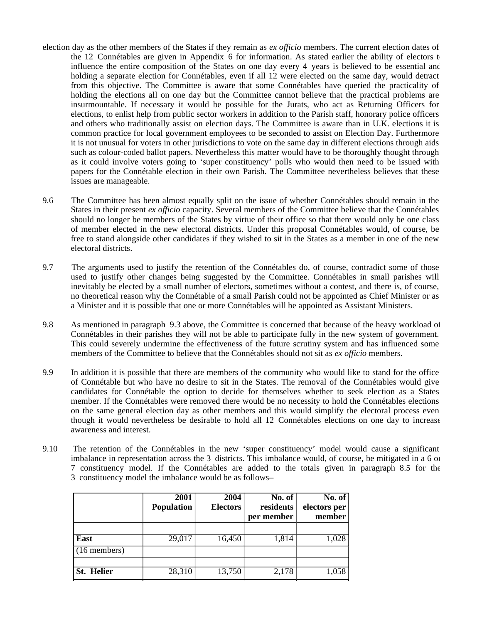- election day as the other members of the States if they remain as *ex officio* members. The current election dates of the 12 Connétables are given in Appendix 6 for information. As stated earlier the ability of electors  $t$ influence the entire composition of the States on one day every 4 years is believed to be essential and holding a separate election for Connétables, even if all 12 were elected on the same day, would detract from this objective. The Committee is aware that some Connétables have queried the practicality of holding the elections all on one day but the Committee cannot believe that the practical problems are insurmountable. If necessary it would be possible for the Jurats, who act as Returning Officers for elections, to enlist help from public sector workers in addition to the Parish staff, honorary police officers and others who traditionally assist on election days. The Committee is aware than in U.K. elections it is common practice for local government employees to be seconded to assist on Election Day. Furthermore it is not unusual for voters in other jurisdictions to vote on the same day in different elections through aids such as colour-coded ballot papers. Nevertheless this matter would have to be thoroughly thought through as it could involve voters going to 'super constituency' polls who would then need to be issued with papers for the Connétable election in their own Parish. The Committee nevertheless believes that these issues are manageable.
- 9.6 The Committee has been almost equally split on the issue of whether Connétables should remain in the States in their present *ex officio* capacity. Several members of the Committee believe that the Connétables should no longer be members of the States by virtue of their office so that there would only be one class of member elected in the new electoral districts. Under this proposal Connétables would, of course, be free to stand alongside other candidates if they wished to sit in the States as a member in one of the new electoral districts.
- 9.7 The arguments used to justify the retention of the Connétables do, of course, contradict some of those used to justify other changes being suggested by the Committee. Connétables in small parishes will inevitably be elected by a small number of electors, sometimes without a contest, and there is, of course, no theoretical reason why the Connétable of a small Parish could not be appointed as Chief Minister or as a Minister and it is possible that one or more Connétables will be appointed as Assistant Ministers.
- 9.8 As mentioned in paragraph 9.3 above, the Committee is concerned that because of the heavy workload of Connétables in their parishes they will not be able to participate fully in the new system of government. This could severely undermine the effectiveness of the future scrutiny system and has influenced some members of the Committee to believe that the Connétables should not sit as *ex officio* members.
- 9.9 In addition it is possible that there are members of the community who would like to stand for the office of Connétable but who have no desire to sit in the States. The removal of the Connétables would give candidates for Connétable the option to decide for themselves whether to seek election as a States member. If the Connétables were removed there would be no necessity to hold the Connétables elections on the same general election day as other members and this would simplify the electoral process even though it would nevertheless be desirable to hold all 12 Connétables elections on one day to increase awareness and interest.
- 9.10 The retention of the Connétables in the new 'super constituency' model would cause a significant imbalance in representation across the 3 districts. This imbalance would, of course, be mitigated in a 6 or 7 constituency model. If the Connétables are added to the totals given in paragraph 8.5 for the 3 constituency model the imbalance would be as follows –

|                   | 2001<br><b>Population</b> | 2004<br><b>Electors</b> | No. of<br>residents | No. of<br>electors per |
|-------------------|---------------------------|-------------------------|---------------------|------------------------|
|                   |                           |                         | per member          | member                 |
| East              | 29,017                    | 16,450                  | 1,814               | 1,028                  |
| $(16$ members)    |                           |                         |                     |                        |
| <b>St. Helier</b> | 28,310                    | 13,750                  | 2,178               | 1,058                  |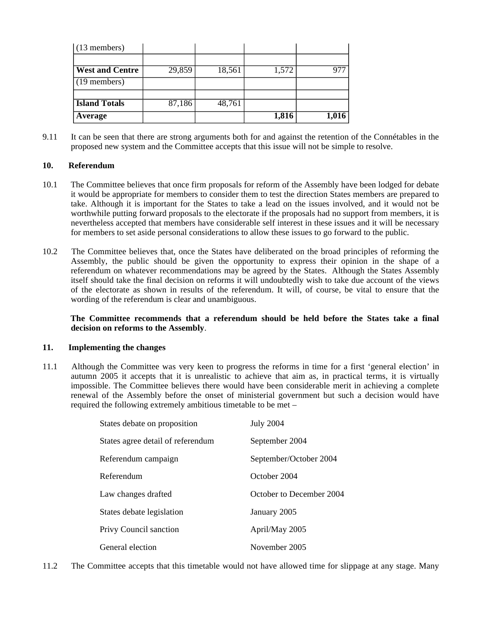| $(13$ members)         |        |        |       |       |
|------------------------|--------|--------|-------|-------|
|                        |        |        |       |       |
| <b>West and Centre</b> | 29,859 | 18,561 | 1,572 | ררב   |
| $(19$ members)         |        |        |       |       |
|                        |        |        |       |       |
| <b>Island Totals</b>   | 87,186 | 48,761 |       |       |
| Average                |        |        | 1,816 | 1,016 |

9.11 It can be seen that there are strong arguments both for and against the retention of the Connétables in the proposed new system and the Committee accepts that this issue will not be simple to resolve.

#### **10. Referendum**

- 10.1 The Committee believes that once firm proposals for reform of the Assembly have been lodged for debate it would be appropriate for members to consider them to test the direction States members are prepared to take. Although it is important for the States to take a lead on the issues involved, and it would not be worthwhile putting forward proposals to the electorate if the proposals had no support from members, it is nevertheless accepted that members have considerable self interest in these issues and it will be necessary for members to set aside personal considerations to allow these issues to go forward to the public.
- 10.2 The Committee believes that, once the States have deliberated on the broad principles of reforming the Assembly, the public should be given the opportunity to express their opinion in the shape of a referendum on whatever recommendations may be agreed by the States. Although the States Assembly itself should take the final decision on reforms it will undoubtedly wish to take due account of the views of the electorate as shown in results of the referendum. It will, of course, be vital to ensure that the wording of the referendum is clear and unambiguous.

#### **The Committee recommends that a referendum should be held before the States take a final decision on reforms to the Assembly**.

#### **11. Implementing the changes**

11.1 Although the Committee was very keen to progress the reforms in time for a first 'general election' in autumn 2005 it accepts that it is unrealistic to achieve that aim as, in practical terms, it is virtually impossible. The Committee believes there would have been considerable merit in achieving a complete renewal of the Assembly before the onset of ministerial government but such a decision would have required the following extremely ambitious timetable to be met –

| States debate on proposition      | <b>July 2004</b>         |
|-----------------------------------|--------------------------|
| States agree detail of referendum | September 2004           |
| Referendum campaign               | September/October 2004   |
| Referendum                        | October 2004             |
| Law changes drafted               | October to December 2004 |
| States debate legislation         | January 2005             |
| Privy Council sanction            | April/May 2005           |
| General election                  | November 2005            |

11.2 The Committee accepts that this timetable would not have allowed time for slippage at any stage. Many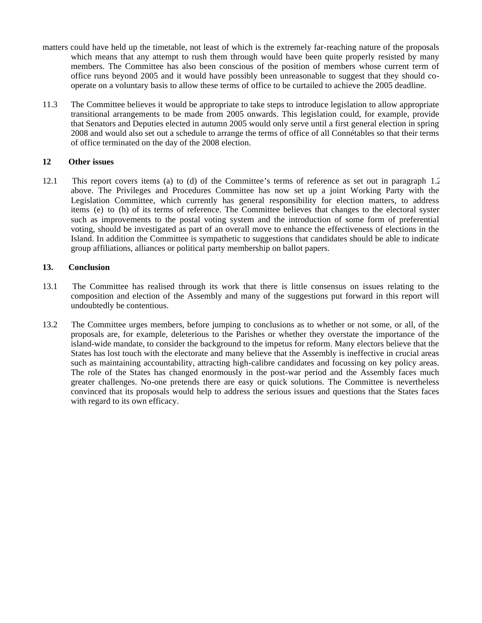- matters could have held up the timetable, not least of which is the extremely far-reaching nature of the proposals which means that any attempt to rush them through would have been quite properly resisted by many members. The Committee has also been conscious of the position of members whose current term of office runs beyond 2005 and it would have possibly been unreasonable to suggest that they should cooperate on a voluntary basis to allow these terms of office to be curtailed to achieve the 2005 deadline.
- 11.3 The Committee believes it would be appropriate to take steps to introduce legislation to allow appropriate transitional arrangements to be made from 2005 onwards. This legislation could, for example, provide that Senators and Deputies elected in autumn 2005 would only serve until a first general election in spring 2008 and would also set out a schedule to arrange the terms of office of all Connétables so that their terms of office terminated on the day of the 2008 election.

#### **12 Other issues**

12.1 This report covers items (a) to (d) of the Committee's terms of reference as set out in paragraph 1.2 above. The Privileges and Procedures Committee has now set up a joint Working Party with the Legislation Committee, which currently has general responsibility for election matters, to address items (e) to (h) of its terms of reference. The Committee believes that changes to the electoral system such as improvements to the postal voting system and the introduction of some form of preferential voting, should be investigated as part of an overall move to enhance the effectiveness of elections in the Island. In addition the Committee is sympathetic to suggestions that candidates should be able to indicate group affiliations, alliances or political party membership on ballot papers.

#### **13. Conclusion**

- 13.1 The Committee has realised through its work that there is little consensus on issues relating to the composition and election of the Assembly and many of the suggestions put forward in this report will undoubtedly be contentious.
- 13.2 The Committee urges members, before jumping to conclusions as to whether or not some, or all, of the proposals are, for example, deleterious to the Parishes or whether they overstate the importance of the island-wide mandate, to consider the background to the impetus for reform. Many electors believe that the States has lost touch with the electorate and many believe that the Assembly is ineffective in crucial areas such as maintaining accountability, attracting high-calibre candidates and focussing on key policy areas. The role of the States has changed enormously in the post-war period and the Assembly faces much greater challenges. No-one pretends there are easy or quick solutions. The Committee is nevertheless convinced that its proposals would help to address the serious issues and questions that the States faces with regard to its own efficacy.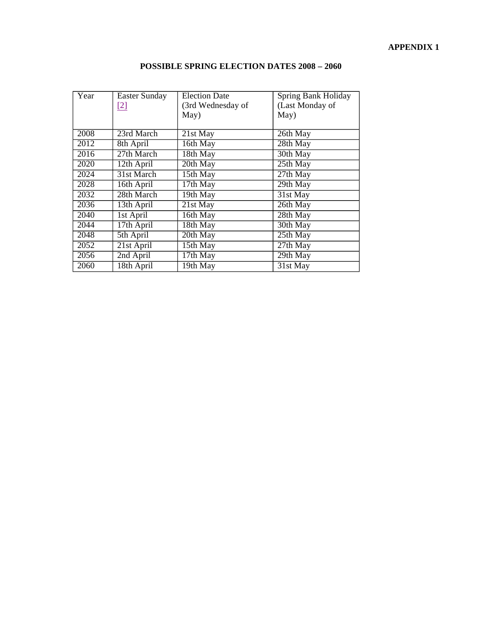| Year | <b>Easter Sunday</b><br>$[2]$ | <b>Election Date</b><br>(3rd Wednesday of | Spring Bank Holiday<br>(Last Monday of |
|------|-------------------------------|-------------------------------------------|----------------------------------------|
|      |                               | May)                                      | May)                                   |
| 2008 | 23rd March                    | 21st May                                  | 26th May                               |
| 2012 | 8th April                     | 16th May                                  | 28th May                               |
| 2016 | 27th March                    | 18th May                                  | 30th May                               |
| 2020 | 12th April                    | 20th May                                  | 25th May                               |
| 2024 | 31st March                    | 15th May                                  | $27th$ May                             |
| 2028 | 16th April                    | 17th May                                  | 29th May                               |
| 2032 | 28th March                    | 19th May                                  | 31st May                               |
| 2036 | 13th April                    | 21st May                                  | 26th May                               |
| 2040 | 1st April                     | 16th May                                  | 28th May                               |
| 2044 | 17th April                    | 18th May                                  | 30th May                               |
| 2048 | 5th April                     | 20th May                                  | 25th May                               |
| 2052 | 21st April                    | 15th May                                  | $27th$ May                             |
| 2056 | 2nd April                     | $17th$ May                                | $\overline{29th May}$                  |
| 2060 | 18th April                    | $\overline{19}$ th May                    | 31st May                               |

## **POSSIBLE SPRING ELECTION DATES 2008 – 2060**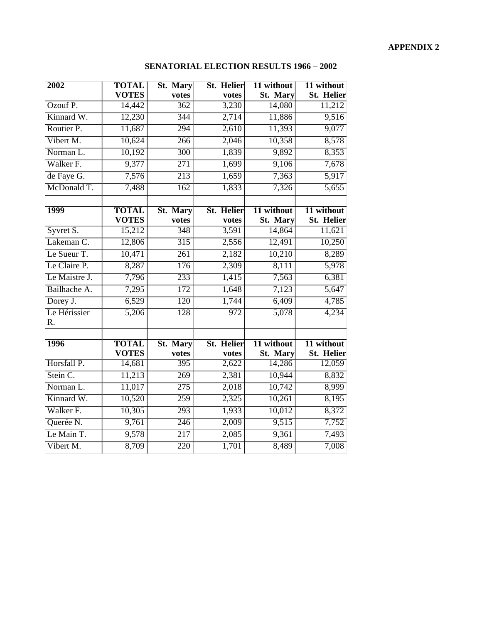## **SENATORIAL ELECTION RESULTS 1966 – 2002**

| 2002                 | <b>TOTAL</b><br><b>VOTES</b> | <b>St. Mary</b><br>votes | St. Helier<br>votes        | 11 without<br>St. Mary | 11 without<br>St. Helier        |
|----------------------|------------------------------|--------------------------|----------------------------|------------------------|---------------------------------|
| Ozouf P.             | 14,442                       | $\overline{362}$         | 3,230                      | 14,080                 | 11,212                          |
| Kinnard W.           | 12,230                       | 344                      | 2,714                      | 11,886                 | 9,516                           |
| Routier P.           | 11,687                       | 294                      | 2,610                      | 11,393                 | 9,077                           |
| Vibert M.            | 10,624                       | 266                      | 2,046                      | 10,358                 | 8,578                           |
| Norman L.            | 10,192                       | $\overline{300}$         | 1,839                      | 9,892                  | 8,353                           |
| Walker <sub>F.</sub> | 9,377                        | $\overline{271}$         | 1,699                      | 9,106                  | 7,678                           |
| de Faye G.           | 7,576                        | 213                      | 1,659                      | 7,363                  | 5,917                           |
| McDonald T.          | 7,488                        | 162                      | 1,833                      | 7,326                  | 5,655                           |
| <b>1999</b>          | <b>TOTAL</b><br><b>VOTES</b> | St. Mary<br>votes        | <b>St. Helier</b><br>votes | 11 without<br>St. Mary | 11 without<br><b>St. Helier</b> |
| Syvret S.            | 15,212                       | $\frac{348}{ }$          | 3,591                      | 14,864                 | 11,621                          |
| Lakeman C.           | 12,806                       | $\overline{315}$         | 2,556                      | 12,491                 | 10,250                          |
| Le Sueur T.          | 10,471                       | $\overline{261}$         | 2,182                      | 10,210                 | 8,289                           |
| Le Claire P.         | 8,287                        | 176                      | 2,309                      | 8,111                  | 5,978                           |
| Le Maistre J.        | 7,796                        | $\overline{233}$         | 1,415                      | 7,563                  | 6,381                           |
| Bailhache A.         | 7,295                        | 172                      | 1,648                      | 7,123                  | 5,647                           |
| Dorey J.             | 6,529                        | $\overline{120}$         | 1,744                      | 6,409                  | 4,785                           |
| Le Hérissier<br>R.   | $\overline{5,206}$           | $\overline{128}$         | $\overline{972}$           | $\frac{5,078}{ }$      | 4,234                           |
|                      |                              |                          |                            |                        |                                 |
| <b>1996</b>          | <b>TOTAL</b><br><b>VOTES</b> | St. Mary<br>votes        | <b>St. Helier</b><br>votes | 11 without<br>St. Mary | 11 without<br><b>St. Helier</b> |
| Horsfall P.          | 14,681                       | $\overline{395}$         | 2,622                      | 14,286                 | 12,059                          |
| Stein C.             | 11,213                       | 269                      | 2,381                      | 10,944                 | 8,832                           |
| Norman L.            | 11,017                       | $\overline{275}$         | 2,018                      | $\frac{10,742}{ }$     | 8,999                           |
| Kinnard W.           | 10,520                       | $\overline{259}$         | 2,325                      | 10,261                 | 8,195                           |
| Walker <sub>F.</sub> | 10,305                       | $\overline{293}$         | 1,933                      | 10,012                 | 8,372                           |
| Querée N.            | 9,761                        | $\overline{246}$         | 2,009                      | 9,515                  | 7,752                           |
| Le Main T.           | 9,578                        | $\overline{217}$         | 2,085                      | 9,361                  | 7,493                           |
| Vibert M.            | 8,709                        | $\overline{220}$         | 1,701                      | 8,489                  | 7,008                           |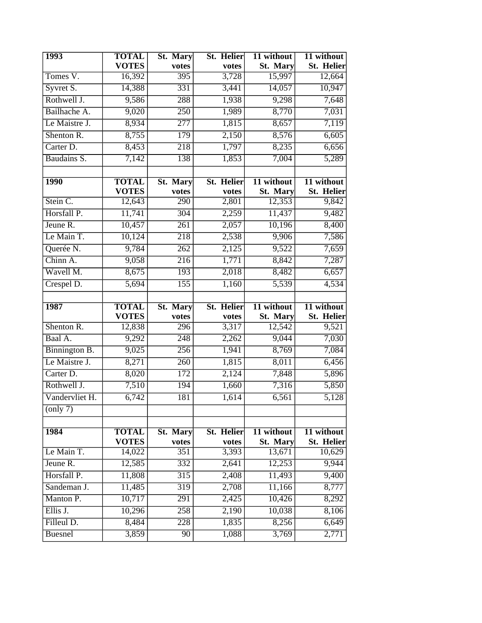| <b>1993</b>                  | <b>TOTAL</b>                 | St. Mary          | St. Helier          | 11 without             | 11 without                               |
|------------------------------|------------------------------|-------------------|---------------------|------------------------|------------------------------------------|
|                              | <b>VOTES</b>                 | votes             | votes               | St. Mary               | <b>St. Helier</b>                        |
| Tomes V.                     | 16,392                       | $\overline{395}$  | 3,728               | 15,997                 | 12,664                                   |
| Syvret S.                    | 14,388                       | 331               | 3,441               | 14,057                 | 10,947                                   |
| Rothwell J.                  | 9,586                        | 288               | 1,938               | 9,298                  | 7,648                                    |
| Bailhache A.                 | 9,020                        | 250               | 1,989               | 8,770                  | 7,031                                    |
| Le Maistre J.                | 8,934                        | 277               | 1,815               | 8,657                  | 7,119                                    |
| Shenton R.                   | 8,755                        | 179               | 2,150               | 8,576                  | 6,605                                    |
| Carter D.                    | 8,453                        | $\overline{218}$  | 1,797               | 8,235                  | 6,656                                    |
| Baudains S.                  | 7,142                        | 138               | 1,853               | 7,004                  | 5,289                                    |
|                              |                              |                   |                     |                        |                                          |
| <b>1990</b>                  | <b>TOTAL</b>                 | St. Mary          | <b>St. Helier</b>   | 11 without             | 11 without                               |
|                              | <b>VOTES</b>                 | votes             | votes               | St. Mary               | <b>St. Helier</b>                        |
| Stein C.                     | 12,643                       | 290               | 2,801               | 12,353                 | 9,842                                    |
| Horsfall P.                  | 11,741                       | $\overline{304}$  | 2,259               | 11,437                 | 9,482                                    |
| Jeune R.                     | 10,457                       | $\overline{261}$  | 2,057               | 10,196                 | 8,400                                    |
| Le Main T.                   | 10,124                       | 218               | 2,538               | 9,906                  | 7,586                                    |
| Querée N.                    | 9,784                        | $\overline{262}$  | 2,125               | 9,522                  | 7,659                                    |
| Chinn A.                     | 9,058                        | $\overline{216}$  | 1,771               | 8,842                  | 7,287                                    |
| Wavell M.                    | 8,675                        | 193               | 2,018               | 8,482                  | 6,657                                    |
| Crespel D.                   | 5,694                        | $\overline{155}$  | 1,160               | 5,539                  | 4,534                                    |
|                              |                              |                   |                     |                        |                                          |
|                              |                              |                   |                     |                        |                                          |
| 1987                         | <b>TOTAL</b><br><b>VOTES</b> | St. Mary<br>votes | St. Helier<br>votes | 11 without<br>St. Mary |                                          |
| Shenton R.                   | 12,838                       | 296               | 3,317               | 12,542                 | 11 without<br><b>St. Helier</b><br>9,521 |
| Baal A.                      | 9,292                        | 248               | 2,262               | 9,044                  | $7,\overline{030}$                       |
| Binnington B.                | 9,025                        | 256               | 1,941               | 8,769                  | 7,084                                    |
| Le Maistre J.                | 8,271                        | $\overline{260}$  | 1,815               | 8,011                  | 6,456                                    |
| Carter D.                    | 8,020                        | $\overline{172}$  | 2,124               | 7,848                  | 5,896                                    |
| Rothwell J.                  | 7,510                        | 194               | 1,660               | 7,316                  | 5,850                                    |
| Vandervliet H.               | 6,742                        | 181               | 1,614               | 6,561                  | 5,128                                    |
| $\overline{\text{(only 7)}}$ |                              |                   |                     |                        |                                          |
|                              |                              |                   |                     |                        |                                          |
| 1984                         | <b>TOTAL</b><br><b>VOTES</b> | St. Mary          | St. Helier<br>votes | 11 without             | 11 without                               |
| Le Main T.                   | 14,022                       | votes<br>351      | 3,393               | St. Mary<br>13,671     | <b>St. Helier</b><br>10,629              |
| Jeune R.                     | 12,585                       | $\overline{332}$  | 2,641               | 12,253                 | 9,944                                    |
| Horsfall P.                  | 11,808                       | $\overline{315}$  | 2,408               | 11,493                 | 9,400                                    |
| Sandeman J.                  | 11,485                       | $\overline{319}$  | 2,708               | 11,166                 | 8,777                                    |
| Manton P.                    | 10,717                       | $\overline{291}$  | 2,425               | 10,426                 | 8,292                                    |
| Ellis J.                     | 10,296                       | 258               | 2,190               | 10,038                 | 8,106                                    |
| Filleul D.                   | 8,484                        | 228               | 1,835               | 8,256                  | 6,649                                    |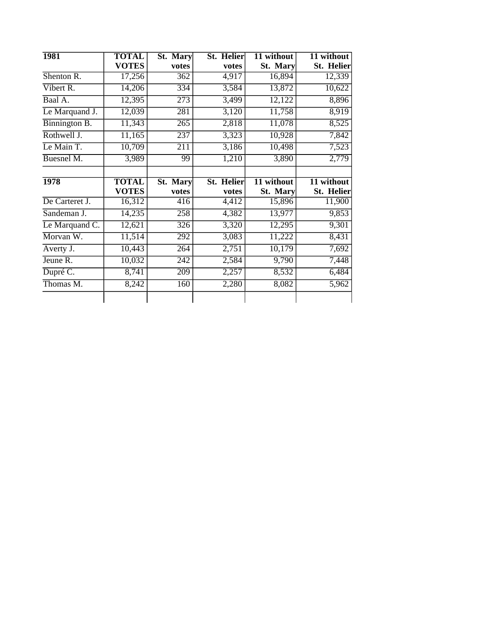| <b>1981</b>    | <b>TOTAL</b> | St. Mary         | <b>St. Helier</b> | 11 without | 11 without        |
|----------------|--------------|------------------|-------------------|------------|-------------------|
|                | <b>VOTES</b> | votes            | votes             | St. Mary   | St. Helier        |
| Shenton R.     | 17,256       | 362              | 4,917             | 16,894     | 12,339            |
| Vibert R.      | 14,206       | 334              | 3,584             | 13,872     | 10,622            |
| Baal A.        | 12,395       | 273              | 3,499             | 12,122     | 8,896             |
| Le Marquand J. | 12,039       | 281              | 3,120             | 11,758     | 8,919             |
| Binnington B.  | 11,343       | 265              | 2,818             | 11,078     | 8,525             |
| Rothwell J.    | 11,165       | 237              | 3,323             | 10,928     | 7,842             |
| Le Main T.     | 10,709       | 211              | 3,186             | 10,498     | 7,523             |
| Buesnel M.     | 3,989        | 99               | 1,210             | 3,890      | 2,779             |
| 1978           | <b>TOTAL</b> | St. Mary         | <b>St. Helier</b> | 11 without | 11 without        |
|                | <b>VOTES</b> | votes            | votes             | St. Mary   | <b>St. Helier</b> |
| De Carteret J. | 16,312       | $\overline{416}$ | 4,412             | 15,896     | 11,900            |
| Sandeman J.    | 14,235       | 258              | 4,382             | 13,977     | 9,853             |
| Le Marquand C. | 12,621       | 326              | 3,320             | 12,295     | 9,301             |
| Morvan W.      | 11,514       | 292              | 3,083             | 11,222     | 8,431             |
| Averty J.      | 10,443       | 264              | 2,751             | 10,179     | 7,692             |
| Jeune R.       | 10,032       | 242              | 2,584             | 9,790      | 7,448             |
| Dupré C.       | 8,741        | 209              | 2,257             | 8,532      | 6,484             |
| Thomas M.      | 8,242        | 160              | 2,280             | 8,082      | 5,962             |
|                |              |                  |                   |            |                   |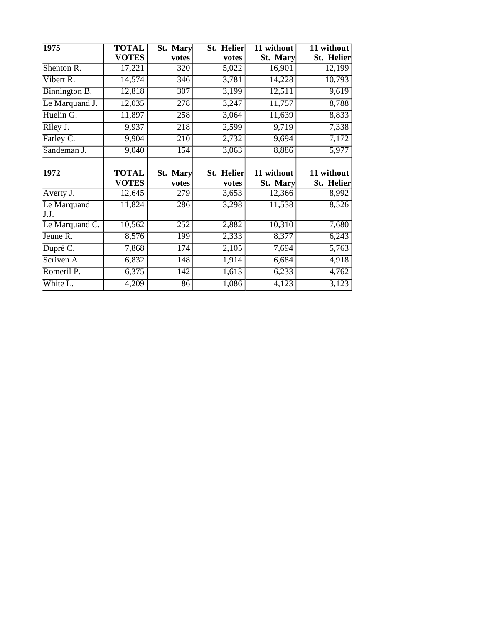| 1975                | <b>TOTAL</b> | St. Mary         | St. Helier | 11 without | 11 without                          |
|---------------------|--------------|------------------|------------|------------|-------------------------------------|
|                     | <b>VOTES</b> | votes            | votes      | St. Mary   | <b>St. Helier</b>                   |
| Shenton R.          | 17,221       | 320              | 5,022      | 16,901     | 12,199                              |
| Vibert R.           | 14,574       | 346              | 3,781      | 14,228     | 10,793                              |
| Binnington B.       | 12,818       | $\overline{307}$ | 3,199      | 12,511     | 9,619                               |
| Le Marquand J.      | 12,035       | 278              | 3,247      | 11,757     | 8,788                               |
| Huelin G.           | 11,897       | 258              | 3,064      | 11,639     | 8,833                               |
| Riley J.            | 9,937        | 218              | 2,599      | 9,719      | 7,338                               |
| Farley C.           | 9,904        | 210              | 2,732      | 9,694      | 7,172                               |
| Sandeman J.         | 9,040        | 154              | 3,063      | 8,886      | 5,977                               |
| 1972                | <b>TOTAL</b> | St. Mary         | St. Helier | 11 without | 11 without                          |
|                     |              |                  |            |            |                                     |
|                     | <b>VOTES</b> | votes            | votes      | St. Mary   |                                     |
| Averty J.           | 12,645       | 279              | 3,653      | 12,366     |                                     |
| Le Marquand<br>J.J. | 11,824       | 286              | 3,298      | 11,538     | <b>St. Helier</b><br>8,992<br>8,526 |
| Le Marquand C.      | 10,562       | 252              | 2,882      | 10,310     |                                     |
| Jeune R.            | 8,576        | 199              | 2,333      | 8,377      |                                     |
| Dupré C.            | 7,868        | $\overline{174}$ | 2,105      | 7,694      | $\overline{5,763}$                  |
| Scriven A.          | 6,832        | 148              | 1,914      | 6,684      |                                     |
| Romeril P.          | 6,375        | $\overline{142}$ | 1,613      | 6,233      | 7,680<br>6,243<br>4,918<br>4,762    |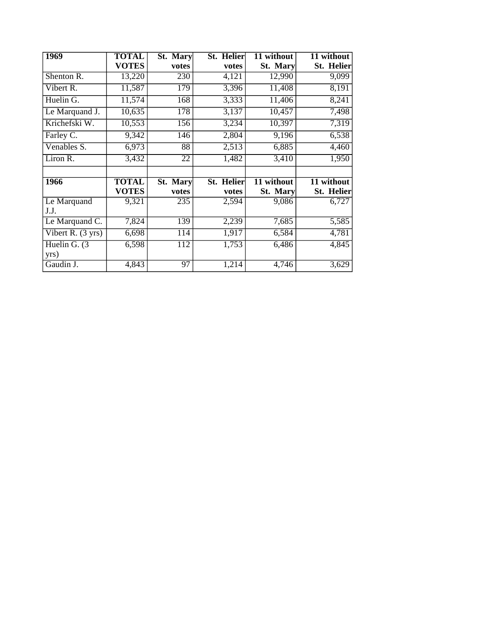| 1969                        | <b>TOTAL</b> | St. Mary | St. Helier | 11 without | 11 without        |
|-----------------------------|--------------|----------|------------|------------|-------------------|
|                             | <b>VOTES</b> | votes    | votes      | St. Mary   | <b>St. Helier</b> |
| Shenton R.                  | 13,220       | 230      | 4,121      | 12,990     | 9,099             |
| Vibert R.                   | 11,587       | 179      | 3,396      | 11,408     | 8,191             |
| Huelin G.                   | 11,574       | 168      | 3,333      | 11,406     | 8,241             |
| Le Marquand J.              | 10,635       | 178      | 3,137      | 10,457     | 7,498             |
| Krichefski W.               | 10,553       | 156      | 3,234      | 10,397     | 7,319             |
| Farley C.                   | 9,342        | 146      | 2,804      | 9,196      | 6,538             |
| Venables S.                 | 6,973        | 88       | 2,513      | 6,885      | 4,460             |
| Liron R.                    | 3,432        | 22       | 1,482      | 3,410      | 1,950             |
|                             |              |          |            |            |                   |
| 1966                        | <b>TOTAL</b> | St. Mary | St. Helier | 11 without | 11 without        |
|                             | <b>VOTES</b> | votes    | votes      | St. Mary   | <b>St. Helier</b> |
| Le Marquand<br>J.J.         | 9,321        | 235      | 2,594      | 9,086      | 6,727             |
| Le Marquand C.              | 7,824        | 139      | 2,239      | 7,685      | 5,585             |
| Vibert R. $(3 \text{ yrs})$ | 6,698        | 114      | 1,917      | 6,584      | 4,781             |
| Huelin G. $(3)$             | 6,598        | 112      | 1,753      | 6,486      | 4,845             |
| yrs)                        |              |          |            |            |                   |
| Gaudin J.                   | 4,843        | 97       | 1,214      | 4,746      | 3,629             |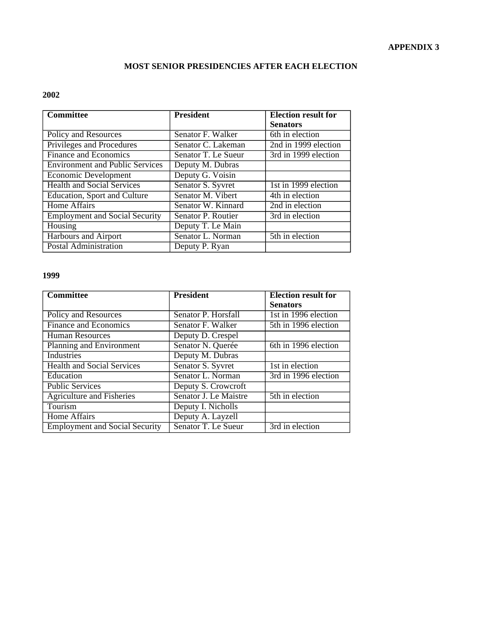## **MOST SENIOR PRESIDENCIES AFTER EACH ELECTION**

## **2002**

| <b>Committee</b>                       | <b>President</b>    | <b>Election result for</b>   |
|----------------------------------------|---------------------|------------------------------|
|                                        |                     | <b>Senators</b>              |
| Policy and Resources                   | Senator F. Walker   | 6th in election              |
| Privileges and Procedures              | Senator C. Lakeman  | 2nd in 1999 election         |
| <b>Finance and Economics</b>           | Senator T. Le Sueur | 3rd in 1999 election         |
| <b>Environment and Public Services</b> | Deputy M. Dubras    |                              |
| Economic Development                   | Deputy G. Voisin    |                              |
| <b>Health and Social Services</b>      | Senator S. Syvret   | 1st in 1999 election         |
| Education, Sport and Culture           | Senator M. Vibert   | $\overline{4th}$ in election |
| <b>Home Affairs</b>                    | Senator W. Kinnard  | 2nd in election              |
| <b>Employment and Social Security</b>  | Senator P. Routier  | 3rd in election              |
| Housing                                | Deputy T. Le Main   |                              |
| Harbours and Airport                   | Senator L. Norman   | $\overline{5th}$ in election |
| <b>Postal Administration</b>           | Deputy P. Ryan      |                              |

| <b>Committee</b>                      | <b>President</b>      | <b>Election result for</b>        |
|---------------------------------------|-----------------------|-----------------------------------|
|                                       |                       | <b>Senators</b>                   |
| Policy and Resources                  | Senator P. Horsfall   | 1st in 1996 election              |
| <b>Finance and Economics</b>          | Senator F. Walker     | $\overline{5th}$ in 1996 election |
| <b>Human Resources</b>                | Deputy D. Crespel     |                                   |
| Planning and Environment              | Senator N. Querée     | 6th in 1996 election              |
| Industries                            | Deputy M. Dubras      |                                   |
| <b>Health and Social Services</b>     | Senator S. Syvret     | 1st in election                   |
| Education                             | Senator L. Norman     | 3rd in 1996 election              |
| <b>Public Services</b>                | Deputy S. Crowcroft   |                                   |
| <b>Agriculture and Fisheries</b>      | Senator J. Le Maistre | 5th in election                   |
| Tourism                               | Deputy I. Nicholls    |                                   |
| Home Affairs                          | Deputy A. Layzell     |                                   |
| <b>Employment and Social Security</b> | Senator T. Le Sueur   | 3rd in election                   |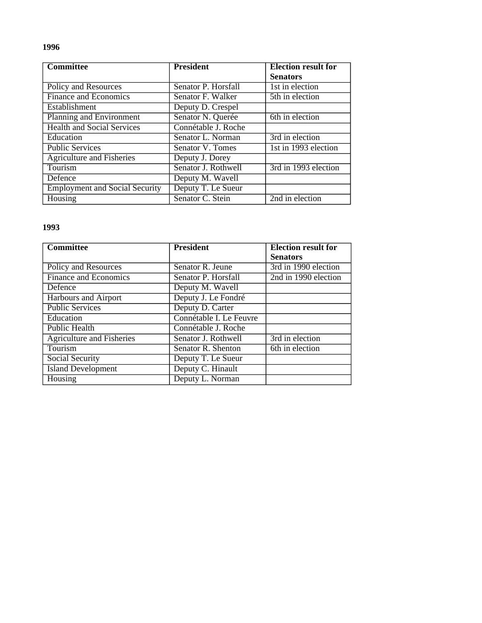| <b>Committee</b>                      | <b>President</b>    | <b>Election result for</b>    |
|---------------------------------------|---------------------|-------------------------------|
|                                       |                     | <b>Senators</b>               |
| Policy and Resources                  | Senator P. Horsfall | 1st in election               |
| <b>Finance and Economics</b>          | Senator F. Walker   | $\overline{5}$ th in election |
| Establishment                         | Deputy D. Crespel   |                               |
| Planning and Environment              | Senator N. Querée   | 6th in election               |
| <b>Health and Social Services</b>     | Connétable J. Roche |                               |
| Education                             | Senator L. Norman   | 3rd in election               |
| <b>Public Services</b>                | Senator V. Tomes    | 1st in 1993 election          |
| <b>Agriculture and Fisheries</b>      | Deputy J. Dorey     |                               |
| Tourism                               | Senator J. Rothwell | 3rd in 1993 election          |
| Defence                               | Deputy M. Wavell    |                               |
| <b>Employment and Social Security</b> | Deputy T. Le Sueur  |                               |
| Housing                               | Senator C. Stein    | 2nd in election               |

| <b>Committee</b>                 | <b>President</b>        | <b>Election result for</b> |
|----------------------------------|-------------------------|----------------------------|
|                                  |                         | <b>Senators</b>            |
| Policy and Resources             | Senator R. Jeune        | 3rd in 1990 election       |
| <b>Finance and Economics</b>     | Senator P. Horsfall     | 2nd in 1990 election       |
| Defence                          | Deputy M. Wavell        |                            |
| <b>Harbours and Airport</b>      | Deputy J. Le Fondré     |                            |
| <b>Public Services</b>           | Deputy D. Carter        |                            |
| Education                        | Connétable I. Le Feuvre |                            |
| Public Health                    | Connétable J. Roche     |                            |
| <b>Agriculture and Fisheries</b> | Senator J. Rothwell     | 3rd in election            |
| Tourism                          | Senator R. Shenton      | 6th in election            |
| Social Security                  | Deputy T. Le Sueur      |                            |
| <b>Island Development</b>        | Deputy C. Hinault       |                            |
| Housing                          | Deputy L. Norman        |                            |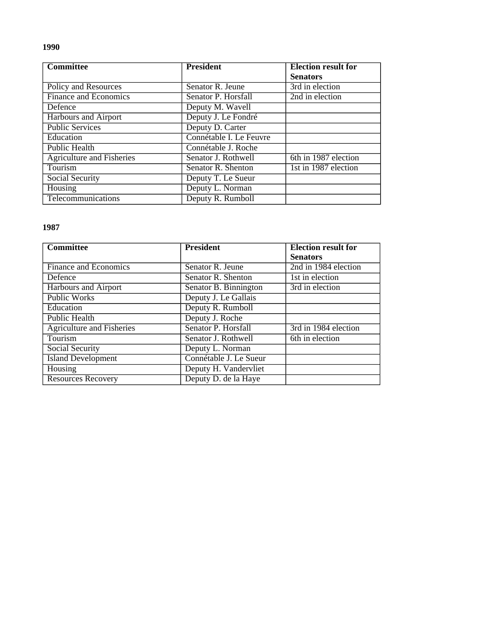| <b>Committee</b>                 | <b>President</b>        | <b>Election result for</b> |
|----------------------------------|-------------------------|----------------------------|
|                                  |                         | <b>Senators</b>            |
| Policy and Resources             | Senator R. Jeune        | 3rd in election            |
| <b>Finance and Economics</b>     | Senator P. Horsfall     | 2nd in election            |
| Defence                          | Deputy M. Wavell        |                            |
| Harbours and Airport             | Deputy J. Le Fondré     |                            |
| <b>Public Services</b>           | Deputy D. Carter        |                            |
| Education                        | Connétable I. Le Feuvre |                            |
| Public Health                    | Connétable J. Roche     |                            |
| <b>Agriculture and Fisheries</b> | Senator J. Rothwell     | 6th in 1987 election       |
| Tourism                          | Senator R. Shenton      | 1st in 1987 election       |
| Social Security                  | Deputy T. Le Sueur      |                            |
| Housing                          | Deputy L. Norman        |                            |
| Telecommunications               | Deputy R. Rumboll       |                            |

| <b>Committee</b>                 | <b>President</b>       | <b>Election result for</b> |
|----------------------------------|------------------------|----------------------------|
|                                  |                        | <b>Senators</b>            |
| <b>Finance and Economics</b>     | Senator R. Jeune       | 2nd in 1984 election       |
| Defence                          | Senator R. Shenton     | 1st in election            |
| <b>Harbours and Airport</b>      | Senator B. Binnington  | 3rd in election            |
| <b>Public Works</b>              | Deputy J. Le Gallais   |                            |
| Education                        | Deputy R. Rumboll      |                            |
| Public Health                    | Deputy J. Roche        |                            |
| <b>Agriculture and Fisheries</b> | Senator P. Horsfall    | 3rd in 1984 election       |
| Tourism                          | Senator J. Rothwell    | 6th in election            |
| Social Security                  | Deputy L. Norman       |                            |
| <b>Island Development</b>        | Connétable J. Le Sueur |                            |
| <b>Housing</b>                   | Deputy H. Vandervliet  |                            |
| <b>Resources Recovery</b>        | Deputy D. de la Haye   |                            |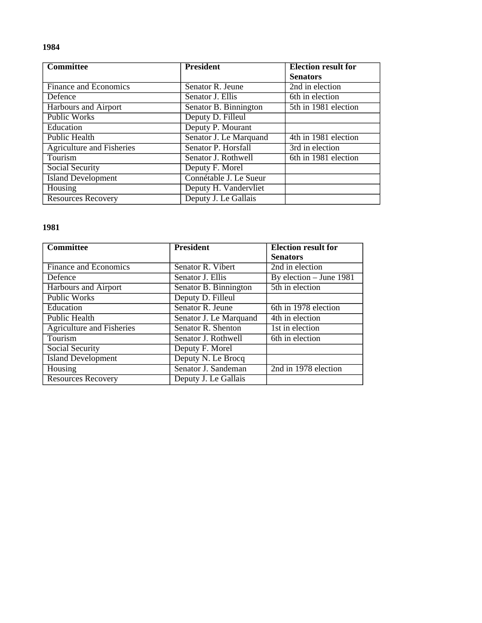| <b>Committee</b>                 | <b>President</b>       | <b>Election result for</b> |
|----------------------------------|------------------------|----------------------------|
|                                  |                        | <b>Senators</b>            |
| Finance and Economics            | Senator R. Jeune       | 2nd in election            |
| Defence                          | Senator J. Ellis       | 6th in election            |
| Harbours and Airport             | Senator B. Binnington  | 5th in 1981 election       |
| Public Works                     | Deputy D. Filleul      |                            |
| Education                        | Deputy P. Mourant      |                            |
| <b>Public Health</b>             | Senator J. Le Marquand | 4th in 1981 election       |
| <b>Agriculture and Fisheries</b> | Senator P. Horsfall    | 3rd in election            |
| <b>Tourism</b>                   | Senator J. Rothwell    | 6th in 1981 election       |
| Social Security                  | Deputy F. Morel        |                            |
| <b>Island Development</b>        | Connétable J. Le Sueur |                            |
| Housing                          | Deputy H. Vandervliet  |                            |
| <b>Resources Recovery</b>        | Deputy J. Le Gallais   |                            |

| <b>Committee</b>                 | <b>President</b>                 | <b>Election result for</b>        |
|----------------------------------|----------------------------------|-----------------------------------|
|                                  |                                  | <b>Senators</b>                   |
| <b>Finance and Economics</b>     | Senator R. Vibert                | 2nd in election                   |
| Defence                          | Senator J. Ellis                 | By election – June 1981           |
| Harbours and Airport             | Senator B. Binnington            | 5th in election                   |
| <b>Public Works</b>              | Deputy D. Filleul                |                                   |
| Education                        | Senator R. Jeune                 | $\overline{6th}$ in 1978 election |
| Public Health                    | Senator J. Le Marquand           | 4th in election                   |
| <b>Agriculture and Fisheries</b> | Senator $\overline{R}$ . Shenton | 1st in election                   |
| Tourism                          | Senator J. Rothwell              | 6th in election                   |
| Social Security                  | Deputy F. Morel                  |                                   |
| <b>Island Development</b>        | Deputy N. Le Brocq               |                                   |
| <b>Housing</b>                   | Senator J. Sandeman              | 2nd in 1978 election              |
| <b>Resources Recovery</b>        | Deputy J. Le Gallais             |                                   |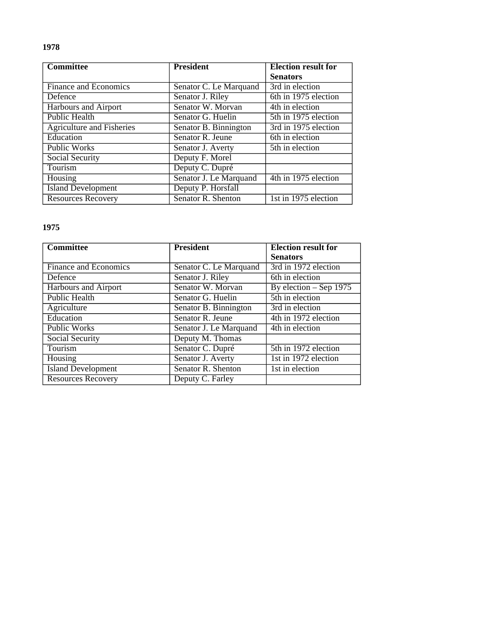| <b>Committee</b>                 | <b>President</b>       | <b>Election result for</b> |
|----------------------------------|------------------------|----------------------------|
|                                  |                        | <b>Senators</b>            |
| <b>Finance and Economics</b>     | Senator C. Le Marquand | 3rd in election            |
| Defence                          | Senator J. Riley       | 6th in 1975 election       |
| Harbours and Airport             | Senator W. Morvan      | 4th in election            |
| <b>Public Health</b>             | Senator G. Huelin      | 5th in 1975 election       |
| <b>Agriculture and Fisheries</b> | Senator B. Binnington  | 3rd in 1975 election       |
| Education                        | Senator R. Jeune       | 6th in election            |
| <b>Public Works</b>              | Senator J. Averty      | 5th in election            |
| Social Security                  | Deputy F. Morel        |                            |
| Tourism                          | Deputy C. Dupré        |                            |
| Housing                          | Senator J. Le Marquand | 4th in 1975 election       |
| <b>Island Development</b>        | Deputy P. Horsfall     |                            |
| <b>Resources Recovery</b>        | Senator R. Shenton     | 1st in 1975 election       |

| <b>Committee</b>             | <b>President</b>       | <b>Election result for</b>          |
|------------------------------|------------------------|-------------------------------------|
|                              |                        | <b>Senators</b>                     |
| <b>Finance and Economics</b> | Senator C. Le Marquand | 3rd in 1972 election                |
| Defence                      | Senator J. Riley       | 6th in election                     |
| <b>Harbours and Airport</b>  | Senator W. Morvan      | $\overline{By}$ election – Sep 1975 |
| <b>Public Health</b>         | Senator G. Huelin      | 5th in election                     |
| Agriculture                  | Senator B. Binnington  | $\overline{3rd}$ in election        |
| Education                    | Senator R. Jeune       | 4th in 1972 election                |
| Public Works                 | Senator J. Le Marquand | 4th in election                     |
| Social Security              | Deputy M. Thomas       |                                     |
| Tourism                      | Senator C. Dupré       | 5th in 1972 election                |
| Housing                      | Senator J. Averty      | 1st in 1972 election                |
| <b>Island Development</b>    | Senator R. Shenton     | 1st in election                     |
| <b>Resources Recovery</b>    | Deputy C. Farley       |                                     |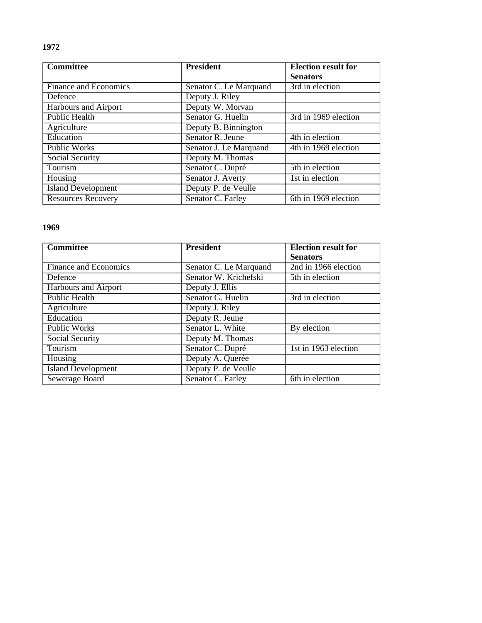| <b>Committee</b>          | <b>President</b>       | <b>Election result for</b> |
|---------------------------|------------------------|----------------------------|
|                           |                        | <b>Senators</b>            |
| Finance and Economics     | Senator C. Le Marquand | 3rd in election            |
| Defence                   | Deputy J. Riley        |                            |
| Harbours and Airport      | Deputy W. Morvan       |                            |
| Public Health             | Senator G. Huelin      | 3rd in 1969 election       |
| Agriculture               | Deputy B. Binnington   |                            |
| Education                 | Senator R. Jeune       | 4th in election            |
| <b>Public Works</b>       | Senator J. Le Marquand | 4th in 1969 election       |
| Social Security           | Deputy M. Thomas       |                            |
| Tourism                   | Senator C. Dupré       | 5th in election            |
| Housing                   | Senator J. Averty      | 1st in election            |
| <b>Island Development</b> | Deputy P. de Veulle    |                            |
| <b>Resources Recovery</b> | Senator C. Farley      | 6th in 1969 election       |

| <b>Committee</b>             | <b>President</b>       | <b>Election result for</b> |
|------------------------------|------------------------|----------------------------|
|                              |                        | <b>Senators</b>            |
| <b>Finance and Economics</b> | Senator C. Le Marquand | 2nd in 1966 election       |
| Defence                      | Senator W. Krichefski  | 5th in election            |
| Harbours and Airport         | Deputy J. Ellis        |                            |
| <b>Public Health</b>         | Senator G. Huelin      | 3rd in election            |
| Agriculture                  | Deputy J. Riley        |                            |
| Education                    | Deputy R. Jeune        |                            |
| Public Works                 | Senator L. White       | By election                |
| Social Security              | Deputy M. Thomas       |                            |
| Tourism                      | Senator C. Dupré       | 1st in 1963 election       |
| Housing                      | Deputy A. Querée       |                            |
| <b>Island Development</b>    | Deputy P. de Veulle    |                            |
| Sewerage Board               | Senator C. Farley      | 6th in election            |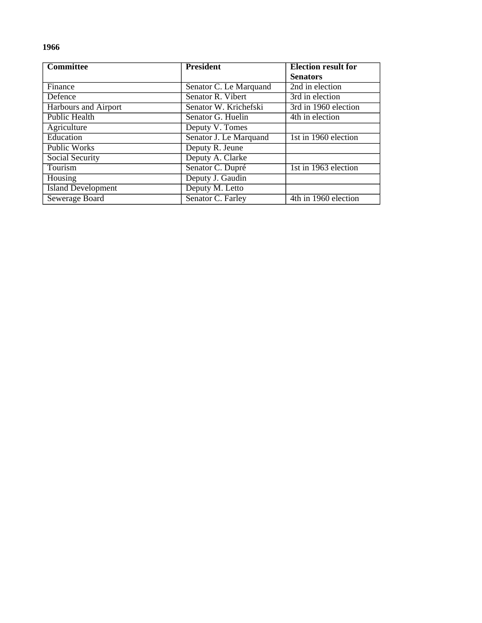| <b>Committee</b>          | <b>President</b>       | <b>Election result for</b> |
|---------------------------|------------------------|----------------------------|
|                           |                        | <b>Senators</b>            |
| Finance                   | Senator C. Le Marquand | 2nd in election            |
| Defence                   | Senator R. Vibert      | 3rd in election            |
| Harbours and Airport      | Senator W. Krichefski  | 3rd in 1960 election       |
| <b>Public Health</b>      | Senator G. Huelin      | 4th in election            |
| Agriculture               | Deputy V. Tomes        |                            |
| Education                 | Senator J. Le Marquand | 1st in 1960 election       |
| <b>Public Works</b>       | Deputy R. Jeune        |                            |
| Social Security           | Deputy A. Clarke       |                            |
| Tourism                   | Senator C. Dupré       | 1st in 1963 election       |
| Housing                   | Deputy J. Gaudin       |                            |
| <b>Island Development</b> | Deputy M. Letto        |                            |
| Sewerage Board            | Senator C. Farley      | 4th in 1960 election       |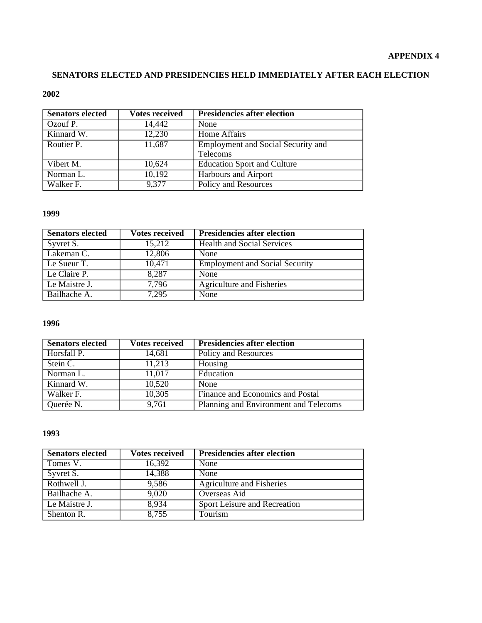## **SENATORS ELECTED AND PRESIDENCIES HELD IMMEDIATELY AFTER EACH ELECTION**

#### **2002**

| <b>Senators elected</b> | <b>Votes received</b> | <b>Presidencies after election</b>        |
|-------------------------|-----------------------|-------------------------------------------|
| Ozouf P.                | 14,442                | None                                      |
| Kinnard W.              | 12,230                | Home Affairs                              |
| Routier P.              | 11,687                | <b>Employment and Social Security and</b> |
|                         |                       | Telecoms                                  |
| Vibert M.               | 10,624                | <b>Education Sport and Culture</b>        |
| Norman L.               | 10,192                | <b>Harbours and Airport</b>               |
| Walker F.               | 9,377                 | Policy and Resources                      |

#### **1999**

| <b>Senators elected</b> | <b>Votes received</b> | <b>Presidencies after election</b>    |
|-------------------------|-----------------------|---------------------------------------|
| Syvret S.               | 15,212                | <b>Health and Social Services</b>     |
| Lakeman C.              | 12,806                | None                                  |
| Le Sueur T.             | 10,471                | <b>Employment and Social Security</b> |
| Le Claire P.            | 8,287                 | None                                  |
| Le Maistre J.           | 7,796                 | Agriculture and Fisheries             |
| Bailhache A.            | 7,295                 | None                                  |

## **1996**

| <b>Senators elected</b> | <b>Votes received</b> | <b>Presidencies after election</b>    |
|-------------------------|-----------------------|---------------------------------------|
| Horsfall P.             | 14,681                | Policy and Resources                  |
| Stein C.                | 11,213                | Housing                               |
| Norman L.               | 11,017                | Education                             |
| Kinnard W.              | 10,520                | None                                  |
| Walker F.               | 10,305                | Finance and Economics and Postal      |
| Querée N.               | 9,761                 | Planning and Environment and Telecoms |

| <b>Senators elected</b> | Votes received | <b>Presidencies after election</b> |
|-------------------------|----------------|------------------------------------|
| Tomes V.                | 16,392         | None                               |
| Syvret S.               | 14,388         | None                               |
| Rothwell J.             | 9,586          | <b>Agriculture and Fisheries</b>   |
| Bailhache A.            | 9,020          | Overseas Aid                       |
| Le Maistre J.           | 8,934          | Sport Leisure and Recreation       |
| Shenton R.              | 8,755          | Tourism                            |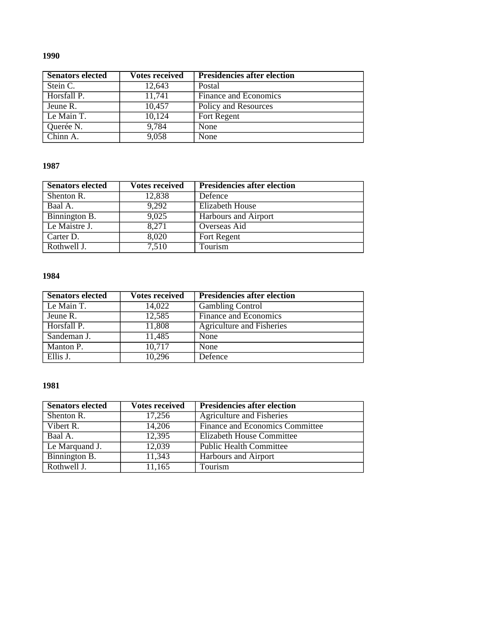| <b>Senators elected</b> | <b>Votes received</b> | <b>Presidencies after election</b> |
|-------------------------|-----------------------|------------------------------------|
| Stein C.                | 12,643                | Postal                             |
| Horsfall P.             | 11,741                | Finance and Economics              |
| Jeune R.                | 10,457                | Policy and Resources               |
| Le Main T.              | 10,124                | Fort Regent                        |
| Querée N.               | 9,784                 | None                               |
| $\overline{Chinn}$ A.   | 9,058                 | None                               |

## **1987**

| <b>Senators elected</b>         | <b>Votes received</b> | <b>Presidencies after election</b> |
|---------------------------------|-----------------------|------------------------------------|
| Shenton R.                      | 12,838                | Defence                            |
| Baal A.                         | 9,292                 | <b>Elizabeth House</b>             |
| Binnington B.                   | 9,025                 | <b>Harbours and Airport</b>        |
| Le Maistre J.                   | 8,271                 | Overseas Aid                       |
| Carter D.                       | 8,020                 | Fort Regent                        |
| $\overline{\text{Rothwell}}$ J. | 7,510                 | Tourism                            |

## **1984**

| <b>Senators elected</b> | <b>Votes received</b> | <b>Presidencies after election</b> |
|-------------------------|-----------------------|------------------------------------|
| Le Main T.              | 14,022                | <b>Gambling Control</b>            |
| Jeune R.                | 12,585                | Finance and Economics              |
| Horsfall P.             | 11,808                | <b>Agriculture and Fisheries</b>   |
| Sandeman J.             | 11,485                | None                               |
| Manton P.               | 10.717                | None                               |
| Ellis J.                | 10,296                | Defence                            |

| <b>Senators elected</b> | <b>Votes received</b> | <b>Presidencies after election</b> |
|-------------------------|-----------------------|------------------------------------|
| Shenton R.              | 17,256                | <b>Agriculture and Fisheries</b>   |
| Vibert R.               | 14,206                | Finance and Economics Committee    |
| Baal A.                 | 12,395                | Elizabeth House Committee          |
| Le Marquand J.          | 12,039                | <b>Public Health Committee</b>     |
| Binnington B.           | 11,343                | Harbours and Airport               |
| Rothwell J.             | 11,165                | Tourism                            |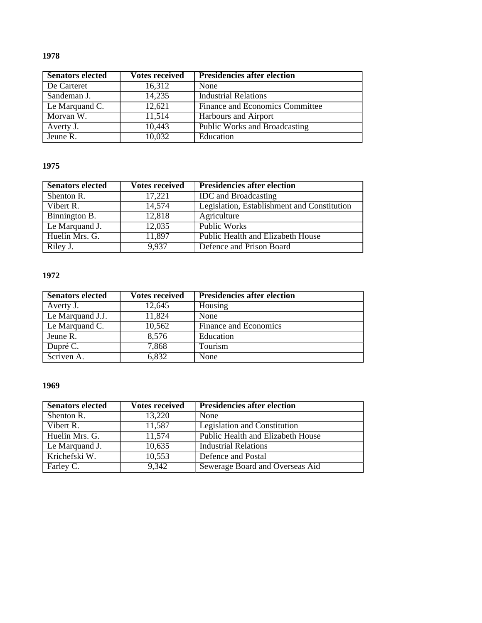| <b>Senators elected</b> | <b>Votes received</b> | <b>Presidencies after election</b>     |
|-------------------------|-----------------------|----------------------------------------|
| De Carteret             | 16,312                | None                                   |
| Sandeman J.             | 14,235                | <b>Industrial Relations</b>            |
| Le Marquand C.          | 12,621                | <b>Finance and Economics Committee</b> |
| Morvan W.               | 11,514                | <b>Harbours and Airport</b>            |
| Averty J.               | 10,443                | <b>Public Works and Broadcasting</b>   |
| Jeune R.                | 10,032                | Education                              |

## **1975**

| <b>Senators elected</b> | <b>Votes received</b> | <b>Presidencies after election</b>          |
|-------------------------|-----------------------|---------------------------------------------|
| Shenton R.              | 17,221                | <b>IDC</b> and Broadcasting                 |
| Vibert R.               | 14,574                | Legislation, Establishment and Constitution |
| Binnington B.           | 12,818                | Agriculture                                 |
| Le Marquand J.          | 12,035                | Public Works                                |
| Huelin Mrs. G.          | 11,897                | Public Health and Elizabeth House           |
| Riley J.                | 9.937                 | Defence and Prison Board                    |

## **1972**

| <b>Senators elected</b> | <b>Votes received</b> | <b>Presidencies after election</b> |
|-------------------------|-----------------------|------------------------------------|
| Averty J.               | 12,645                | Housing                            |
| Le Marquand J.J.        | 11,824                | None                               |
| Le Marquand C.          | 10,562                | Finance and Economics              |
| Jeune R.                | 8,576                 | Education                          |
| Dupré C.                | 7,868                 | Tourism                            |
| Scriven A.              | 6,832                 | None                               |

| <b>Senators elected</b> | Votes received | <b>Presidencies after election</b> |
|-------------------------|----------------|------------------------------------|
| Shenton R.              | 13,220         | None                               |
| Vibert R.               | 11,587         | Legislation and Constitution       |
| Huelin Mrs. G.          | 11,574         | Public Health and Elizabeth House  |
| Le Marquand J.          | 10,635         | <b>Industrial Relations</b>        |
| Krichefski W.           | 10,553         | Defence and Postal                 |
| Farley C.               | 9,342          | Sewerage Board and Overseas Aid    |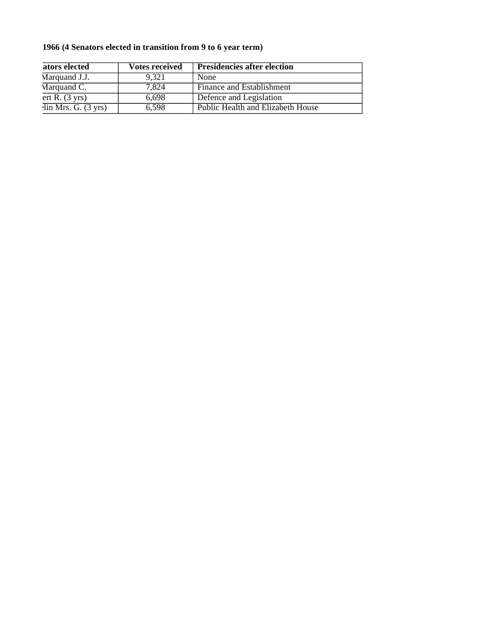## **1966 (4 Senators elected in transition from 9 to 6 year term)**

| ators elected                           | <b>Votes received</b> | <b>Presidencies after election</b> |
|-----------------------------------------|-----------------------|------------------------------------|
| Marquand J.J.                           | 9.321                 | None                               |
| Marquand C.                             | 7.824                 | Finance and Establishment          |
| ert R. (3 yrs)                          | 6,698                 | Defence and Legislation            |
| $\overline{\text{lin Mrs. G. (3 yrs)}}$ | 6,598                 | Public Health and Elizabeth House  |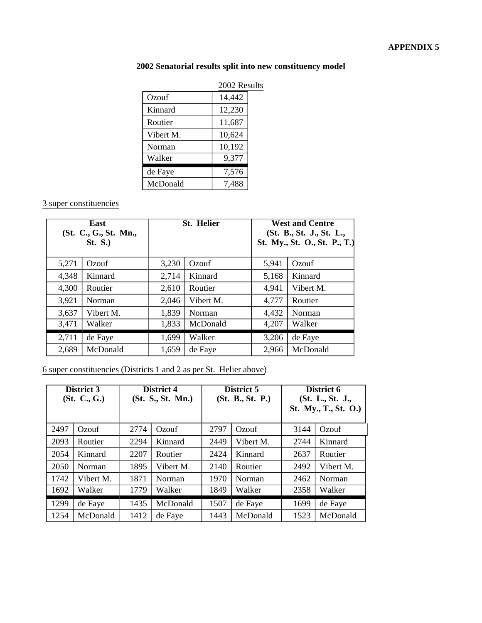## **2002 Senatorial results split into new constituency model**

|           | 2002 Results |  |  |
|-----------|--------------|--|--|
| Ozouf     | 14,442       |  |  |
| Kinnard   | 12,230       |  |  |
| Routier   | 11,687       |  |  |
| Vibert M. | 10,624       |  |  |
| Norman    | 10,192       |  |  |
| Walker    | 9,377        |  |  |
| de Faye   | 7,576        |  |  |
| McDonald  | 7,488        |  |  |

## 3 super constituencies

| East<br>(St. C., G., St. Mn.,<br><b>St. S.)</b> |           | <b>St. Helier</b> |           | <b>West and Centre</b><br>(St. B., St. J., St. L.,<br>St. My., St. O., St. P., T.) |           |
|-------------------------------------------------|-----------|-------------------|-----------|------------------------------------------------------------------------------------|-----------|
| 5,271                                           | Ozouf     | 3,230             | Ozouf     | 5,941                                                                              | Ozouf     |
| 4,348                                           | Kinnard   | 2,714             | Kinnard   | 5,168                                                                              | Kinnard   |
| 4,300                                           | Routier   | 2,610             | Routier   | 4,941                                                                              | Vibert M. |
| 3,921                                           | Norman    | 2,046             | Vibert M. | 4,777                                                                              | Routier   |
| 3,637                                           | Vibert M. | 1,839             | Norman    | 4,432                                                                              | Norman    |
| 3,471                                           | Walker    | 1,833             | McDonald  | 4,207                                                                              | Walker    |
| 2,711                                           | de Faye   | 1,699             | Walker    | 3,206                                                                              | de Faye   |
| 2,689                                           | McDonald  | 1,659             | de Faye   | 2,966                                                                              | McDonald  |

## 6 super constituencies (Districts 1 and 2 as per St. Helier above)

|      | District 3<br>(St. C., G.) |      | District 4<br>(St. S., St. Mn.) | District 5<br>(St. B., St. P.) |           | District 6<br>(St. L., St. J.,<br>St. My., T., St. O.) |           |
|------|----------------------------|------|---------------------------------|--------------------------------|-----------|--------------------------------------------------------|-----------|
| 2497 | Ozouf                      | 2774 | Ozouf                           | 2797                           | Ozouf     | 3144                                                   | Ozouf     |
| 2093 | Routier                    | 2294 | Kinnard                         | 2449                           | Vibert M. | 2744                                                   | Kinnard   |
| 2054 | Kinnard                    | 2207 | Routier                         | 2424                           | Kinnard   | 2637                                                   | Routier   |
| 2050 | Norman                     | 1895 | Vibert M.                       | 2140                           | Routier   | 2492                                                   | Vibert M. |
| 1742 | Vibert M.                  | 1871 | Norman                          | 1970                           | Norman    | 2462                                                   | Norman    |
| 1692 | Walker                     | 1779 | Walker                          | 1849                           | Walker    | 2358                                                   | Walker    |
| 1299 | de Faye                    | 1435 | McDonald                        | 1507                           | de Faye   | 1699                                                   | de Faye   |
| 1254 | McDonald                   | 1412 | de Faye                         | 1443                           | McDonald  | 1523                                                   | McDonald  |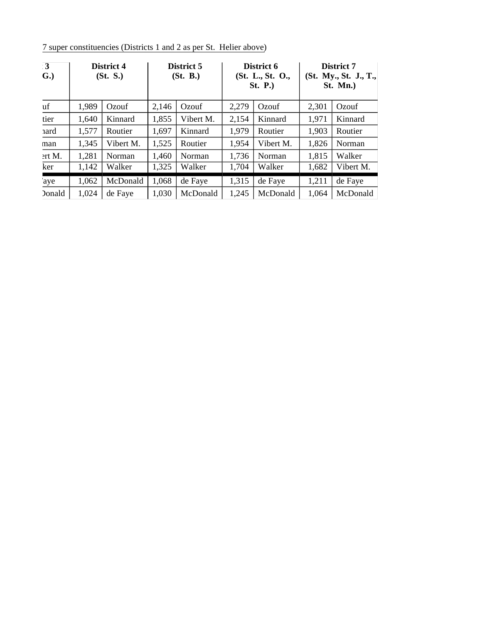7 super constituencies (Districts 1 and 2 as per St. Helier above)

| $\cdot$ 3<br>G.) |       | District 4<br>(St. S.) |       | District 5<br>(St. B.) |       | District 6<br>(St. L., St. O.,<br><b>St. P.</b> ) |       | District 7<br>(St. My., St. J., T.,<br>St. Mn. |  |
|------------------|-------|------------------------|-------|------------------------|-------|---------------------------------------------------|-------|------------------------------------------------|--|
| uf               | 1,989 | Ozouf                  | 2,146 | Ozouf                  | 2,279 | Ozouf                                             | 2,301 | Ozouf                                          |  |
| tier             | 1,640 | Kinnard                | 1,855 | Vibert M.              | 2,154 | Kinnard                                           | 1,971 | Kinnard                                        |  |
| 1ard             | 1,577 | Routier                | 1,697 | Kinnard                | 1,979 | Routier                                           | 1,903 | Routier                                        |  |
| man              | 1,345 | Vibert M.              | 1,525 | Routier                | 1,954 | Vibert M.                                         | 1,826 | Norman                                         |  |
| $2rt M$ .        | 1,281 | Norman                 | 1,460 | Norman                 | 1,736 | Norman                                            | 1,815 | Walker                                         |  |
| ker              | 1,142 | Walker                 | 1,325 | Walker                 | 1,704 | Walker                                            | 1,682 | Vibert M.                                      |  |
| 'aye             | 1,062 | McDonald               | 1,068 | de Faye                | 1,315 | de Faye                                           | 1,211 | de Faye                                        |  |
| <b>Donald</b>    | 1,024 | de Faye                | 1,030 | McDonald               | 1,245 | McDonald                                          | 1,064 | McDonald                                       |  |